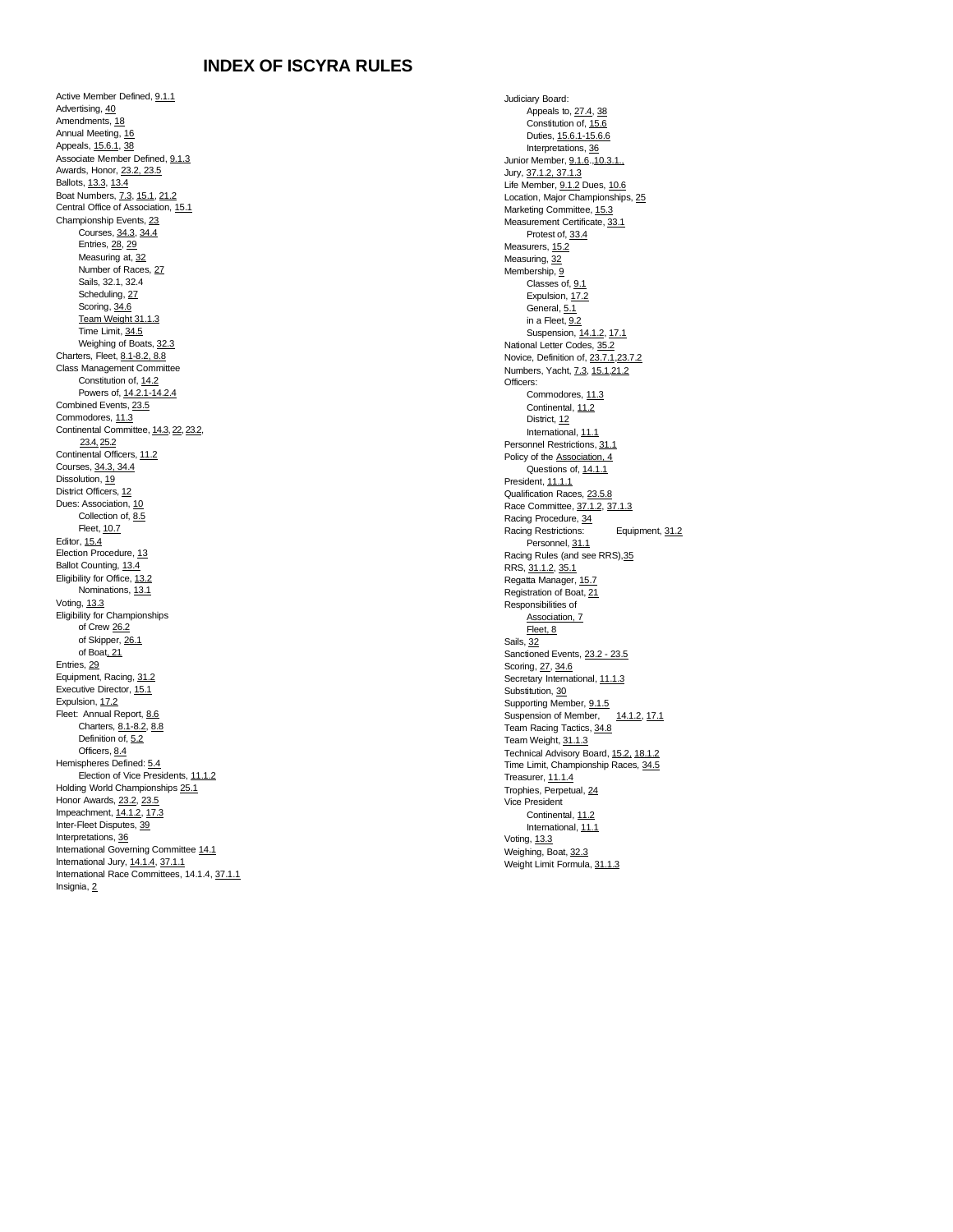# **INDEX OF ISCYRA RULES**

Active Member Defined[, 9.1.1](#page-2-0) Advertising[, 40](#page-17-0) Amendments[, 18](#page-8-0) Annual Meeting[, 16](#page-7-0) Appeals[, 15.6.1,](#page-7-1) [38](#page-17-1) Associate Member Defined, [9.1.3](#page-3-0) Awards, Honor[, 23.2, 23.5](#page-9-0) Ballots[, 13.3,](#page-5-0) [13.4](#page-5-1) Boat Numbers[, 7.3,](#page-2-1) [15.1,](#page-6-0) [21.2](#page-9-1) Central Office of Association[, 15.1](#page-6-0) Championship Events, [23](#page-9-0) Courses[, 34.3,](#page-14-0) [34.4](#page-16-0) Entries[, 28,](#page-12-0) [29](#page-12-1) Measuring at, [32](#page-13-0) Number of Races[, 27](#page-11-0) Sails, 32.1, 32.4 Scheduling[, 27](#page-11-0) Scoring[, 34.6](#page-16-1) Team Weight 31.1.3 Time Limit[, 34.5](#page-16-2) Weighing of Boats, [32.3](#page-13-0) Charters, Fleet, [8.1-8.2, 8.8](#page-2-2) Class Management Committee Constitution of, [14.2](#page-6-1) Powers of, [14.2.1-14.2.4](#page-6-1) Combined Events, 23.5 Commodores[, 11.3](#page-4-0) Continental Committee, [14.3,](#page-6-2) [22,](#page-9-2) [23.2,](#page-9-0) [23.4,](#page-9-0) [25.2](#page-11-1) Continental Officers, [11.2](#page-4-1) Courses[, 34.3, 34.4](#page-14-0) Dissolution[, 19](#page-9-3) District Officers, [12](#page-5-2) Dues: Association[, 10](#page-3-1) Collection of, [8.5](#page-2-3) Fleet, [10.7](#page-4-2) Editor[, 15.4](#page-7-2) Election Procedure[, 13](#page-5-3) Ballot Counting[, 13.4](#page-5-1) Eligibility for Office, [13.2](#page-5-4) Nominations[, 13.1](#page-5-5) Voting[, 13.3](#page-5-0) Eligibility for Championships of Cre[w 26.2](#page-11-2) of Skipper[, 26.1](#page-11-3) of Boat, [21](#page-9-1) Entries[, 29](#page-12-1) Equipment, Racing[, 31.2](#page-13-1) Executive Director[, 15.1](#page-6-0) Expulsion[, 17.2](#page-8-1) Fleet: Annual Report[, 8.6](#page-2-2) Charters[, 8.1-8.2, 8.8](#page-2-2) Definition of, [5.2](#page-1-0) Officers, [8.4](#page-2-2) Hemispheres Defined[: 5.4](#page-1-1) Election of Vice Presidents[, 11.1.2](#page-4-3) Holding World Championships 25.1 Honor Awards[, 23.2, 23.5](#page-9-0) Impeachment[, 14.1.2,](#page-6-3) [17.3](#page-8-1) Inter-Fleet Disputes[, 39](#page-17-2) Interpretations[, 36](#page-16-3) International Governing Committe[e 14.1](#page-5-6) International Jury, [14.1.4,](#page-5-6) [37.1.1](#page-16-4) International Race Committees, 14.1.4[, 37.1.1](#page-16-4) Insignia[, 2](#page-1-2)

Judiciary Board: Appeals to, [27.4,](#page-12-2) [38](#page-17-1) Constitution of, [15.6](#page-7-3) Duties[, 15.6.1-15.6.6](#page-7-3) Interpretations[, 36](#page-16-3) Junior Member[, 9.1.6.](#page-3-2)[,10.3.1.,](#page-3-3) Jury[, 37.1.2, 37.1.3](#page-16-4) Life Member[, 9.1.2](#page-2-4) Dues[, 10.6](#page-3-1) Location, Major Championships, [25](#page-11-1) Marketing Committee[, 15.3](#page-7-4) Measurement Certificate[, 33.1](#page-14-1) Protest of, [33.4](#page-14-1) Measurers[, 15.2](#page-6-4) Measuring[, 32](#page-13-0) Membership[, 9](#page-2-5) Classes of, [9.1](#page-2-5) Expulsion[, 17.2](#page-8-1) General[, 5.1](#page-1-0) in a Fleet,  $9.2$ Suspension[, 14.1.2,](#page-6-3) [17.1](#page-8-1) National Letter Codes[, 35.2](#page-16-5) Novice, Definition of, [23.7.1,](#page-10-0) [23.7.2](#page-10-1) Numbers, Yacht, [7.3,](#page-2-1) [15.1,](#page-6-0) [21.2](#page-9-1) Officers: Commodores[, 11.3](#page-4-0) Continental[, 11.2](#page-4-1) District[, 12](#page-5-2) International[, 11.1](#page-4-4) Personnel Restrictions[, 31.1](#page-12-3) Policy of th[e Association, 4](#page-1-3) Questions of, [14.1.1](#page-5-6) President[, 11.1.1](#page-4-5) Qualification Races[, 23.5.8](#page-10-2) Race Committee, [37.1.2, 37.1.3](#page-16-4) Racing Procedure[, 34](#page-14-2) Racing Restrictions: Equipment[, 31.2](#page-13-1) Personnel[, 31.1](#page-12-4) Racing Rules (and see RRS[\),35](#page-16-6) RRS[, 31.1.2,](#page-12-3) [35.1](#page-16-6) Regatta Manager[, 15.7](#page-7-5) Registration of Boat, [21](#page-9-1) Responsibilities of [Association, 7](#page-2-6) [Fleet,](#page-2-2) 8 Sails[, 32](#page-13-0) Sanctioned Events[, 23.2 -](#page-9-0) 23.5 Scoring[, 27,](#page-11-0) [34.6](#page-16-1) Secretary International[, 11.1.3](#page-4-6) Substitution[, 30](#page-12-5) Supporting Member, <u>9.1.5</u><br>Suspension of Member. 14.1.2. 17.1 Suspension of Member, Team Racing Tactics, [34.8](#page-16-7) Team Weight, 31.1.3 Technical Advisory Board[, 15.2,](#page-6-4) [18.1.2](#page-8-0) Time Limit, Championship Races, [34.5](#page-16-2) Treasurer[, 11.1.4](#page-4-7) Trophies, Perpetual[, 24](#page-10-3) Vice President Continental[, 11.2](#page-4-1) International[, 11.1](#page-4-4) Voting, [13.3](#page-5-0) Weighing, Boat, [32.3](#page-13-0) Weight Limit Formula[, 31.1.3](#page-12-6)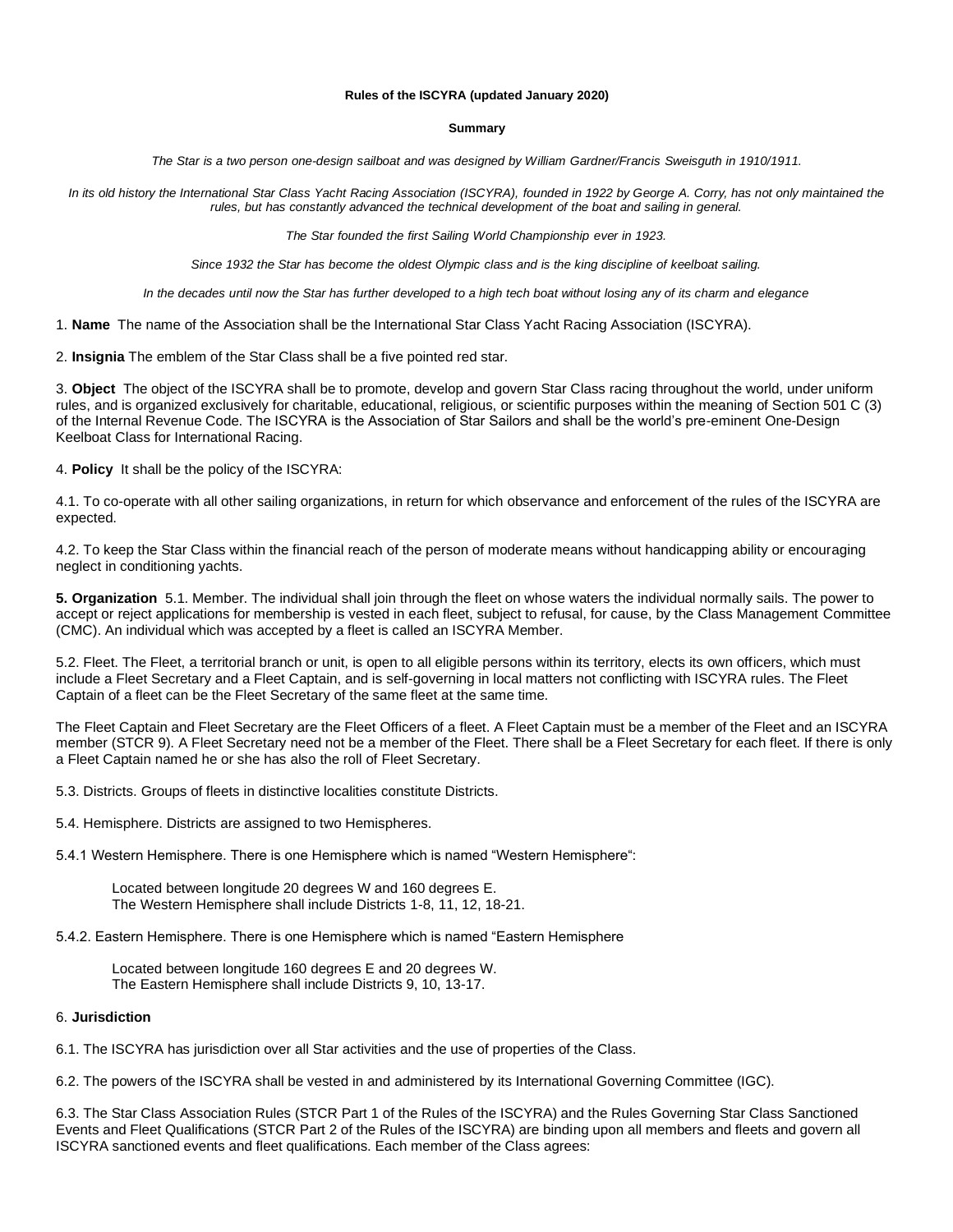### **Rules of the ISCYRA (updated January 2020)**

#### **Summary**

The Star is a two person one-design sailboat and was designed by William Gardner/Francis Sweisguth in 1910/1911.

In its old history the International Star Class Yacht Racing Association (ISCYRA), founded in 1922 by George A. Corry, has not only maintained the *rules, but has constantly advanced the technical development of the boat and sailing in general.*

*The Star founded the first Sailing World Championship ever in 1923.*

Since 1932 the Star has become the oldest Olympic class and is the king discipline of keelboat sailing.

In the decades until now the Star has further developed to a high tech boat without losing any of its charm and elegance

<span id="page-1-2"></span>1. **Name** The name of the Association shall be the International Star Class Yacht Racing Association (ISCYRA).

2. **Insignia** The emblem of the Star Class shall be a five pointed red star.

3. **Object** The object of the ISCYRA shall be to promote, develop and govern Star Class racing throughout the world, under uniform rules, and is organized exclusively for charitable, educational, religious, or scientific purposes within the meaning of Section 501 C (3) of the Internal Revenue Code. The ISCYRA is the Association of Star Sailors and shall be the world's pre-eminent One-Design Keelboat Class for International Racing.

<span id="page-1-3"></span>4. **Policy** It shall be the policy of the ISCYRA:

4.1. To co-operate with all other sailing organizations, in return for which observance and enforcement of the rules of the ISCYRA are expected.

4.2. To keep the Star Class within the financial reach of the person of moderate means without handicapping ability or encouraging neglect in conditioning yachts.

<span id="page-1-0"></span>**5. Organization** 5.1. Member. The individual shall join through the fleet on whose waters the individual normally sails. The power to accept or reject applications for membership is vested in each fleet, subject to refusal, for cause, by the Class Management Committee (CMC). An individual which was accepted by a fleet is called an ISCYRA Member.

5.2. Fleet. The Fleet, a territorial branch or unit, is open to all eligible persons within its territory, elects its own officers, which must include a Fleet Secretary and a Fleet Captain, and is self-governing in local matters not conflicting with ISCYRA rules. The Fleet Captain of a fleet can be the Fleet Secretary of the same fleet at the same time.

The Fleet Captain and Fleet Secretary are the Fleet Officers of a fleet. A Fleet Captain must be a member of the Fleet and an ISCYRA member (STCR 9). A Fleet Secretary need not be a member of the Fleet. There shall be a Fleet Secretary for each fleet. If there is only a Fleet Captain named he or she has also the roll of Fleet Secretary.

<span id="page-1-1"></span>5.3. Districts. Groups of fleets in distinctive localities constitute Districts.

5.4. Hemisphere. Districts are assigned to two Hemispheres.

5.4.1 Western Hemisphere. There is one Hemisphere which is named "Western Hemisphere":

Located between longitude 20 degrees W and 160 degrees E. The Western Hemisphere shall include Districts 1-8, 11, 12, 18-21.

5.4.2. Eastern Hemisphere. There is one Hemisphere which is named "Eastern Hemisphere

Located between longitude 160 degrees E and 20 degrees W. The Eastern Hemisphere shall include Districts 9, 10, 13-17.

### 6. **Jurisdiction**

6.1. The ISCYRA has jurisdiction over all Star activities and the use of properties of the Class.

6.2. The powers of the ISCYRA shall be vested in and administered by its International Governing Committee (IGC).

6.3. The Star Class Association Rules (STCR Part 1 of the Rules of the ISCYRA) and the Rules Governing Star Class Sanctioned Events and Fleet Qualifications (STCR Part 2 of the Rules of the ISCYRA) are binding upon all members and fleets and govern all ISCYRA sanctioned events and fleet qualifications. Each member of the Class agrees: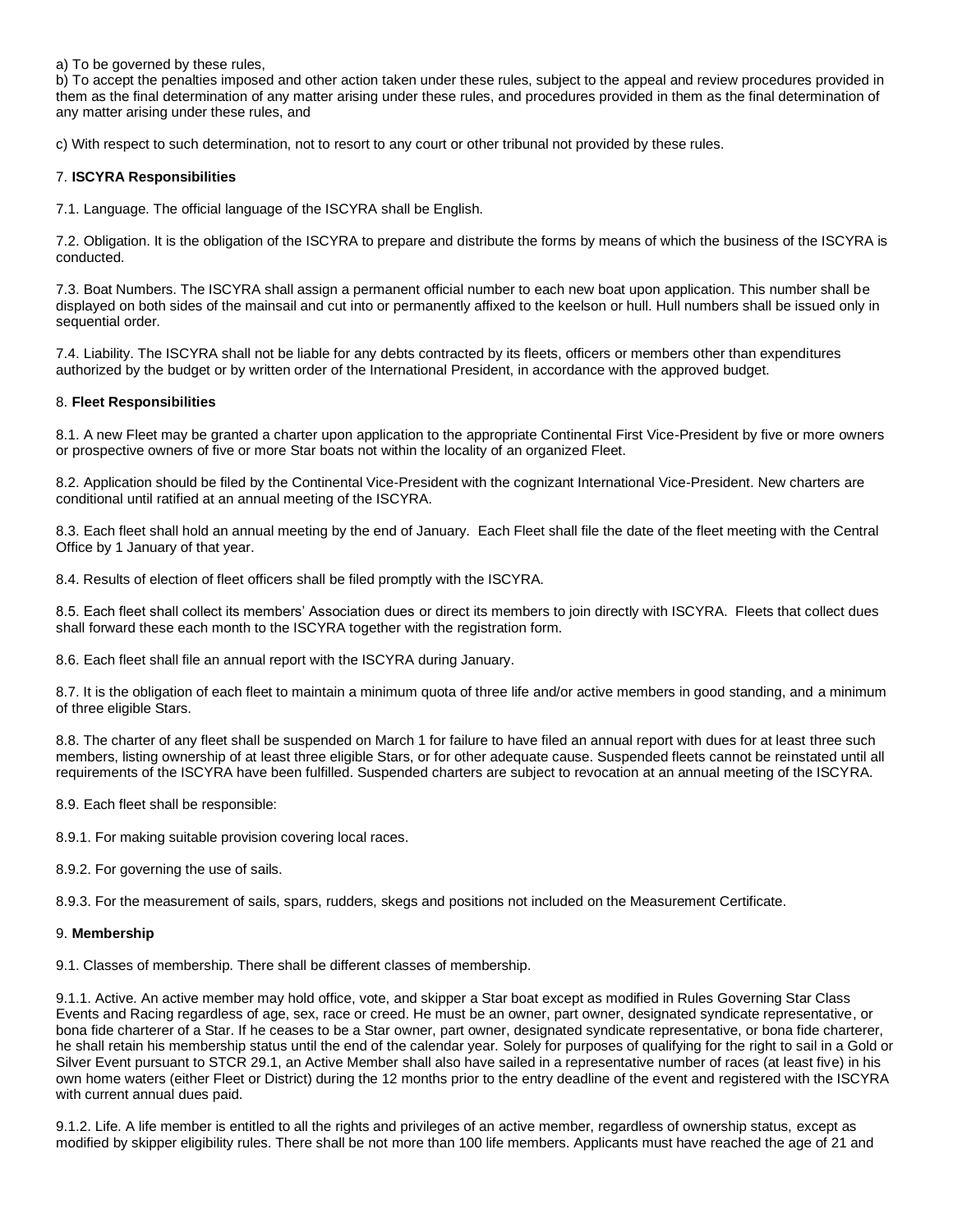a) To be governed by these rules,

b) To accept the penalties imposed and other action taken under these rules, subject to the appeal and review procedures provided in them as the final determination of any matter arising under these rules, and procedures provided in them as the final determination of any matter arising under these rules, and

c) With respect to such determination, not to resort to any court or other tribunal not provided by these rules.

### <span id="page-2-6"></span>7. **ISCYRA Responsibilities**

7.1. Language. The official language of the ISCYRA shall be English.

7.2. Obligation. It is the obligation of the ISCYRA to prepare and distribute the forms by means of which the business of the ISCYRA is conducted.

<span id="page-2-1"></span>7.3. Boat Numbers. The ISCYRA shall assign a permanent official number to each new boat upon application. This number shall be displayed on both sides of the mainsail and cut into or permanently affixed to the keelson or hull. Hull numbers shall be issued only in sequential order.

7.4. Liability. The ISCYRA shall not be liable for any debts contracted by its fleets, officers or members other than expenditures authorized by the budget or by written order of the International President, in accordance with the approved budget.

## <span id="page-2-2"></span>8. **Fleet Responsibilities**

8.1. A new Fleet may be granted a charter upon application to the appropriate Continental First Vice-President by five or more owners or prospective owners of five or more Star boats not within the locality of an organized Fleet.

8.2. Application should be filed by the Continental Vice-President with the cognizant International Vice-President. New charters are conditional until ratified at an annual meeting of the ISCYRA.

8.3. Each fleet shall hold an annual meeting by the end of January. Each Fleet shall file the date of the fleet meeting with the Central Office by 1 January of that year.

8.4. Results of election of fleet officers shall be filed promptly with the ISCYRA.

<span id="page-2-3"></span>8.5. Each fleet shall collect its members' Association dues or direct its members to join directly with ISCYRA. Fleets that collect dues shall forward these each month to the ISCYRA together with the registration form.

8.6. Each fleet shall file an annual report with the ISCYRA during January.

8.7. It is the obligation of each fleet to maintain a minimum quota of three life and/or active members in good standing, and a minimum of three eligible Stars.

8.8. The charter of any fleet shall be suspended on March 1 for failure to have filed an annual report with dues for at least three such members, listing ownership of at least three eligible Stars, or for other adequate cause. Suspended fleets cannot be reinstated until all requirements of the ISCYRA have been fulfilled. Suspended charters are subject to revocation at an annual meeting of the ISCYRA.

8.9. Each fleet shall be responsible:

8.9.1. For making suitable provision covering local races.

8.9.2. For governing the use of sails.

<span id="page-2-5"></span>8.9.3. For the measurement of sails, spars, rudders, skegs and positions not included on the Measurement Certificate.

### 9. **Membership**

<span id="page-2-0"></span>9.1. Classes of membership. There shall be different classes of membership.

9.1.1. Active. An active member may hold office, vote, and skipper a Star boat except as modified in Rules Governing Star Class Events and Racing regardless of age, sex, race or creed. He must be an owner, part owner, designated syndicate representative, or bona fide charterer of a Star. If he ceases to be a Star owner, part owner, designated syndicate representative, or bona fide charterer, he shall retain his membership status until the end of the calendar year. Solely for purposes of qualifying for the right to sail in a Gold or Silver Event pursuant to STCR 29.1, an Active Member shall also have sailed in a representative number of races (at least five) in his own home waters (either Fleet or District) during the 12 months prior to the entry deadline of the event and registered with the ISCYRA with current annual dues paid.

<span id="page-2-4"></span>9.1.2. Life. A life member is entitled to all the rights and privileges of an active member, regardless of ownership status, except as modified by skipper eligibility rules. There shall be not more than 100 life members. Applicants must have reached the age of 21 and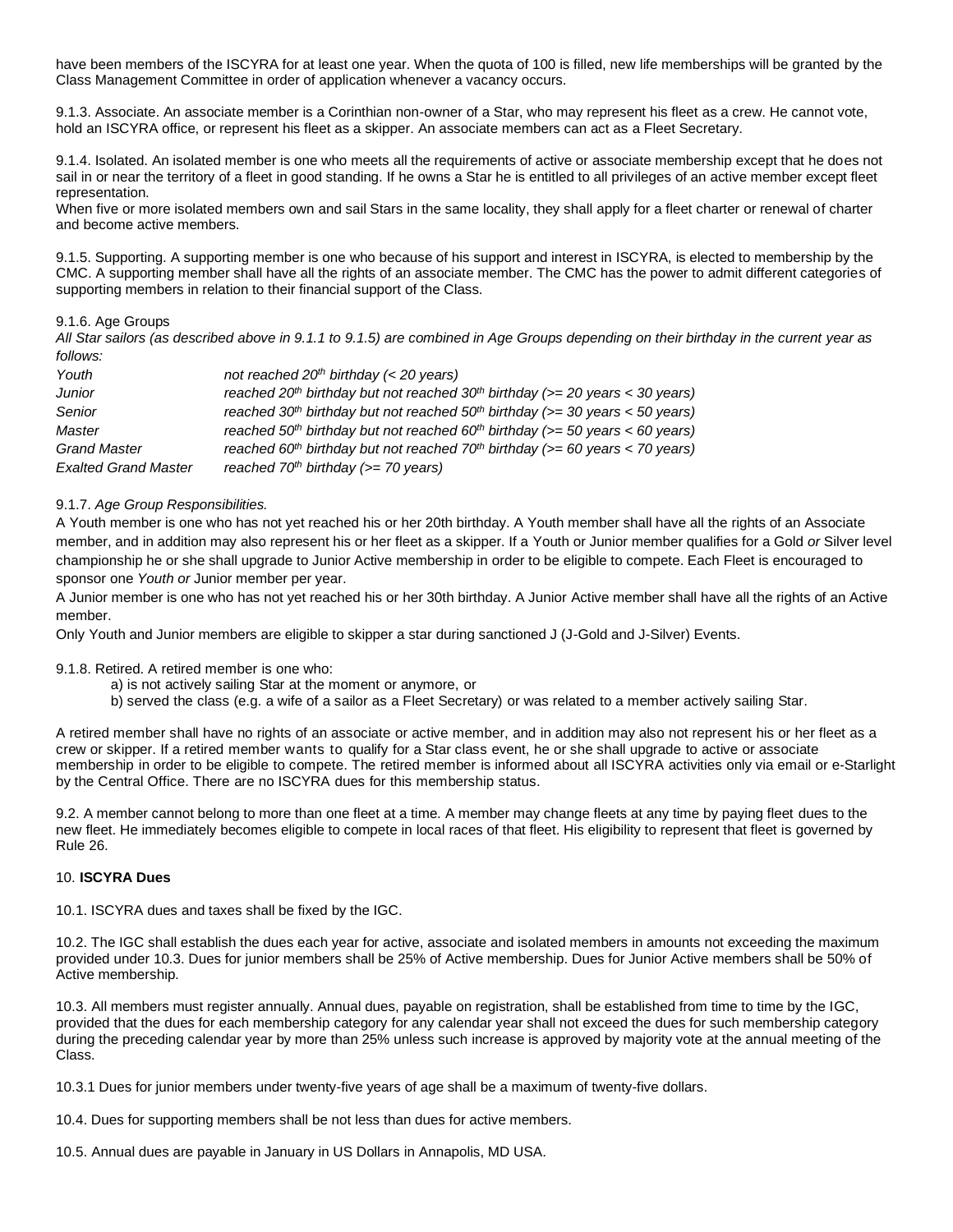have been members of the ISCYRA for at least one year. When the quota of 100 is filled, new life memberships will be granted by the Class Management Committee in order of application whenever a vacancy occurs.

<span id="page-3-0"></span>9.1.3. Associate. An associate member is a Corinthian non-owner of a Star, who may represent his fleet as a crew. He cannot vote, hold an ISCYRA office, or represent his fleet as a skipper. An associate members can act as a Fleet Secretary.

9.1.4. Isolated. An isolated member is one who meets all the requirements of active or associate membership except that he does not sail in or near the territory of a fleet in good standing. If he owns a Star he is entitled to all privileges of an active member except fleet representation.

When five or more isolated members own and sail Stars in the same locality, they shall apply for a fleet charter or renewal of charter and become active members.

9.1.5. Supporting. A supporting member is one who because of his support and interest in ISCYRA, is elected to membership by the CMC. A supporting member shall have all the rights of an associate member. The CMC has the power to admit different categories of supporting members in relation to their financial support of the Class.

## <span id="page-3-2"></span>9.1.6. Age Groups

*All Star sailors (as described above in 9.1.1 to 9.1.5) are combined in Age Groups depending on their birthday in the current year as follows:*

| Youth                       | not reached $20th$ birthday (< 20 years)                                                                |
|-----------------------------|---------------------------------------------------------------------------------------------------------|
| Junior                      | reached 20 <sup>th</sup> birthday but not reached 30 <sup>th</sup> birthday ( $>=$ 20 years < 30 years) |
| Senior                      | reached 30 <sup>th</sup> birthday but not reached 50 <sup>th</sup> birthday ( $>=$ 30 years < 50 years) |
| Master                      | reached 50 <sup>th</sup> birthday but not reached 60 <sup>th</sup> birthday ( $>=$ 50 years < 60 years) |
| <b>Grand Master</b>         | reached 60 <sup>th</sup> birthday but not reached 70 <sup>th</sup> birthday ( $>= 60$ years < 70 years) |
| <b>Exalted Grand Master</b> | reached $70th$ birthday ( $>= 70$ years)                                                                |

## 9.1.7. *Age Group Responsibilities.*

A Youth member is one who has not yet reached his or her 20th birthday. A Youth member shall have all the rights of an Associate member, and in addition may also represent his or her fleet as a skipper. If a Youth or Junior member qualifies for a Gold *or* Silver level championship he or she shall upgrade to Junior Active membership in order to be eligible to compete. Each Fleet is encouraged to sponsor one *Youth or* Junior member per year.

A Junior member is one who has not yet reached his or her 30th birthday. A Junior Active member shall have all the rights of an Active member.

Only Youth and Junior members are eligible to skipper a star during sanctioned J (J-Gold and J-Silver) Events.

## 9.1.8. Retired. A retired member is one who:

- a) is not actively sailing Star at the moment or anymore, or
- b) served the class (e.g. a wife of a sailor as a Fleet Secretary) or was related to a member actively sailing Star.

A retired member shall have no rights of an associate or active member, and in addition may also not represent his or her fleet as a crew or skipper. If a retired member wants to qualify for a Star class event, he or she shall upgrade to active or associate membership in order to be eligible to compete. The retired member is informed about all ISCYRA activities only via email or e-Starlight by the Central Office. There are no ISCYRA dues for this membership status.

9.2. A member cannot belong to more than one fleet at a time. A member may change fleets at any time by paying fleet dues to the new fleet. He immediately becomes eligible to compete in local races of that fleet. His eligibility to represent that fleet is governed by Rule 26.

### <span id="page-3-1"></span>10. **ISCYRA Dues**

10.1. ISCYRA dues and taxes shall be fixed by the IGC.

10.2. The IGC shall establish the dues each year for active, associate and isolated members in amounts not exceeding the maximum provided under 10.3. Dues for junior members shall be 25% of Active membership. Dues for Junior Active members shall be 50% of Active membership.

10.3. All members must register annually. Annual dues, payable on registration, shall be established from time to time by the IGC, provided that the dues for each membership category for any calendar year shall not exceed the dues for such membership category during the preceding calendar year by more than 25% unless such increase is approved by majority vote at the annual meeting of the Class.

<span id="page-3-3"></span>10.3.1 Dues for junior members under twenty-five years of age shall be a maximum of twenty-five dollars.

10.4. Dues for supporting members shall be not less than dues for active members.

10.5. Annual dues are payable in January in US Dollars in Annapolis, MD USA.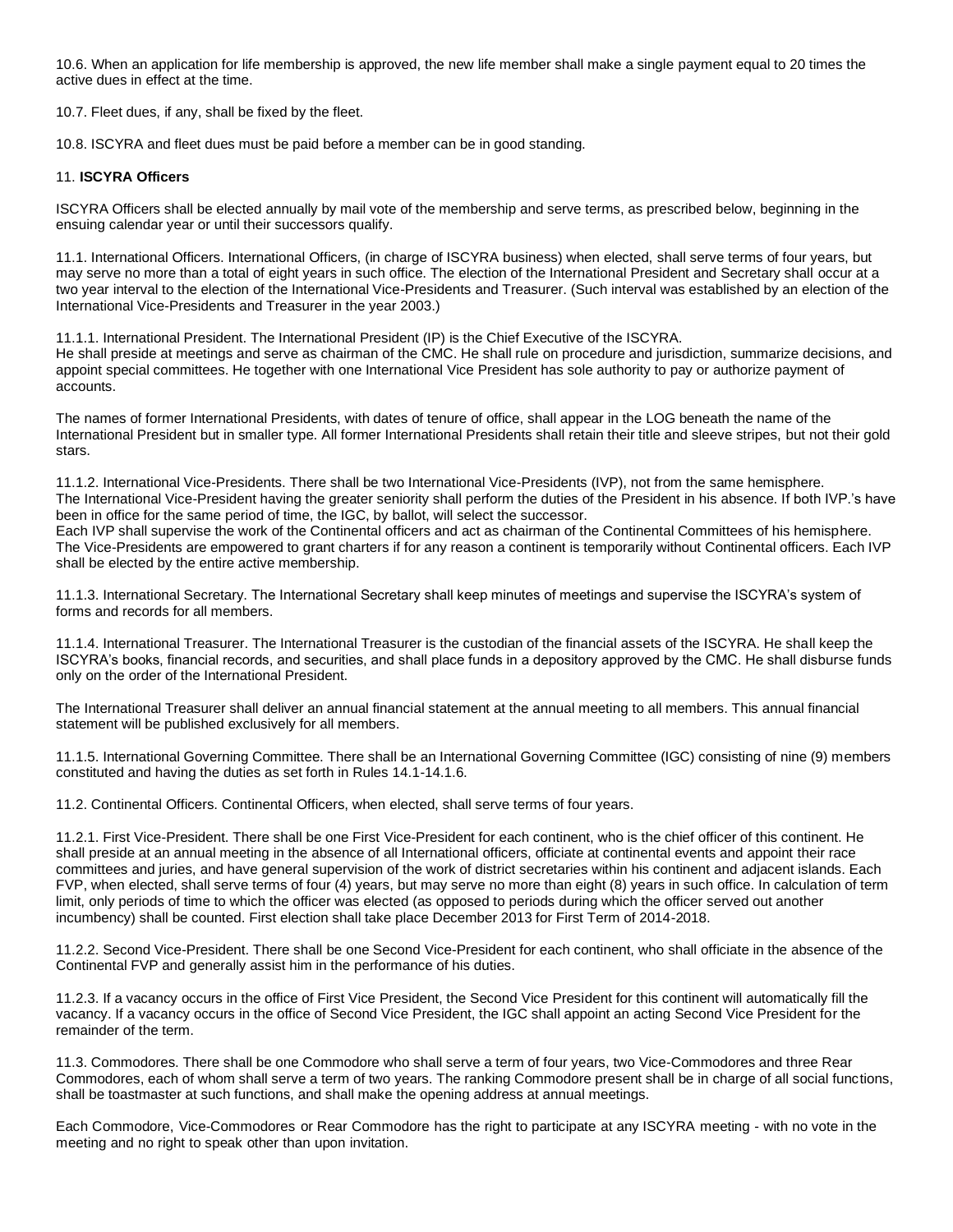10.6. When an application for life membership is approved, the new life member shall make a single payment equal to 20 times the active dues in effect at the time.

<span id="page-4-2"></span>10.7. Fleet dues, if any, shall be fixed by the fleet.

10.8. ISCYRA and fleet dues must be paid before a member can be in good standing.

### 11. **ISCYRA Officers**

ISCYRA Officers shall be elected annually by mail vote of the membership and serve terms, as prescribed below, beginning in the ensuing calendar year or until their successors qualify.

<span id="page-4-4"></span>11.1. International Officers. International Officers, (in charge of ISCYRA business) when elected, shall serve terms of four years, but may serve no more than a total of eight years in such office. The election of the International President and Secretary shall occur at a two year interval to the election of the International Vice-Presidents and Treasurer. (Such interval was established by an election of the International Vice-Presidents and Treasurer in the year 2003.)

<span id="page-4-5"></span>11.1.1. International President. The International President (IP) is the Chief Executive of the ISCYRA. He shall preside at meetings and serve as chairman of the CMC. He shall rule on procedure and jurisdiction, summarize decisions, and appoint special committees. He together with one International Vice President has sole authority to pay or authorize payment of accounts.

The names of former International Presidents, with dates of tenure of office, shall appear in the LOG beneath the name of the International President but in smaller type. All former International Presidents shall retain their title and sleeve stripes, but not their gold stars.

<span id="page-4-3"></span>11.1.2. International Vice-Presidents. There shall be two International Vice-Presidents (IVP), not from the same hemisphere. The International Vice-President having the greater seniority shall perform the duties of the President in his absence. If both IVP.'s have been in office for the same period of time, the IGC, by ballot, will select the successor.

Each IVP shall supervise the work of the Continental officers and act as chairman of the Continental Committees of his hemisphere. The Vice-Presidents are empowered to grant charters if for any reason a continent is temporarily without Continental officers. Each IVP shall be elected by the entire active membership.

<span id="page-4-6"></span>11.1.3. International Secretary. The International Secretary shall keep minutes of meetings and supervise the ISCYRA's system of forms and records for all members.

<span id="page-4-7"></span>11.1.4. International Treasurer. The International Treasurer is the custodian of the financial assets of the ISCYRA. He shall keep the ISCYRA's books, financial records, and securities, and shall place funds in a depository approved by the CMC. He shall disburse funds only on the order of the International President.

The International Treasurer shall deliver an annual financial statement at the annual meeting to all members. This annual financial statement will be published exclusively for all members.

11.1.5. International Governing Committee. There shall be an International Governing Committee (IGC) consisting of nine (9) members constituted and having the duties as set forth in Rules 14.1-14.1.6.

<span id="page-4-1"></span>11.2. Continental Officers. Continental Officers, when elected, shall serve terms of four years.

11.2.1. First Vice-President. There shall be one First Vice-President for each continent, who is the chief officer of this continent. He shall preside at an annual meeting in the absence of all International officers, officiate at continental events and appoint their race committees and juries, and have general supervision of the work of district secretaries within his continent and adjacent islands. Each FVP, when elected, shall serve terms of four (4) years, but may serve no more than eight (8) years in such office. In calculation of term limit, only periods of time to which the officer was elected (as opposed to periods during which the officer served out another incumbency) shall be counted. First election shall take place December 2013 for First Term of 2014-2018.

11.2.2. Second Vice-President. There shall be one Second Vice-President for each continent, who shall officiate in the absence of the Continental FVP and generally assist him in the performance of his duties.

11.2.3. If a vacancy occurs in the office of First Vice President, the Second Vice President for this continent will automatically fill the vacancy. If a vacancy occurs in the office of Second Vice President, the IGC shall appoint an acting Second Vice President for the remainder of the term.

<span id="page-4-0"></span>11.3. Commodores. There shall be one Commodore who shall serve a term of four years, two Vice-Commodores and three Rear Commodores, each of whom shall serve a term of two years. The ranking Commodore present shall be in charge of all social functions, shall be toastmaster at such functions, and shall make the opening address at annual meetings.

Each Commodore, Vice-Commodores or Rear Commodore has the right to participate at any ISCYRA meeting - with no vote in the meeting and no right to speak other than upon invitation.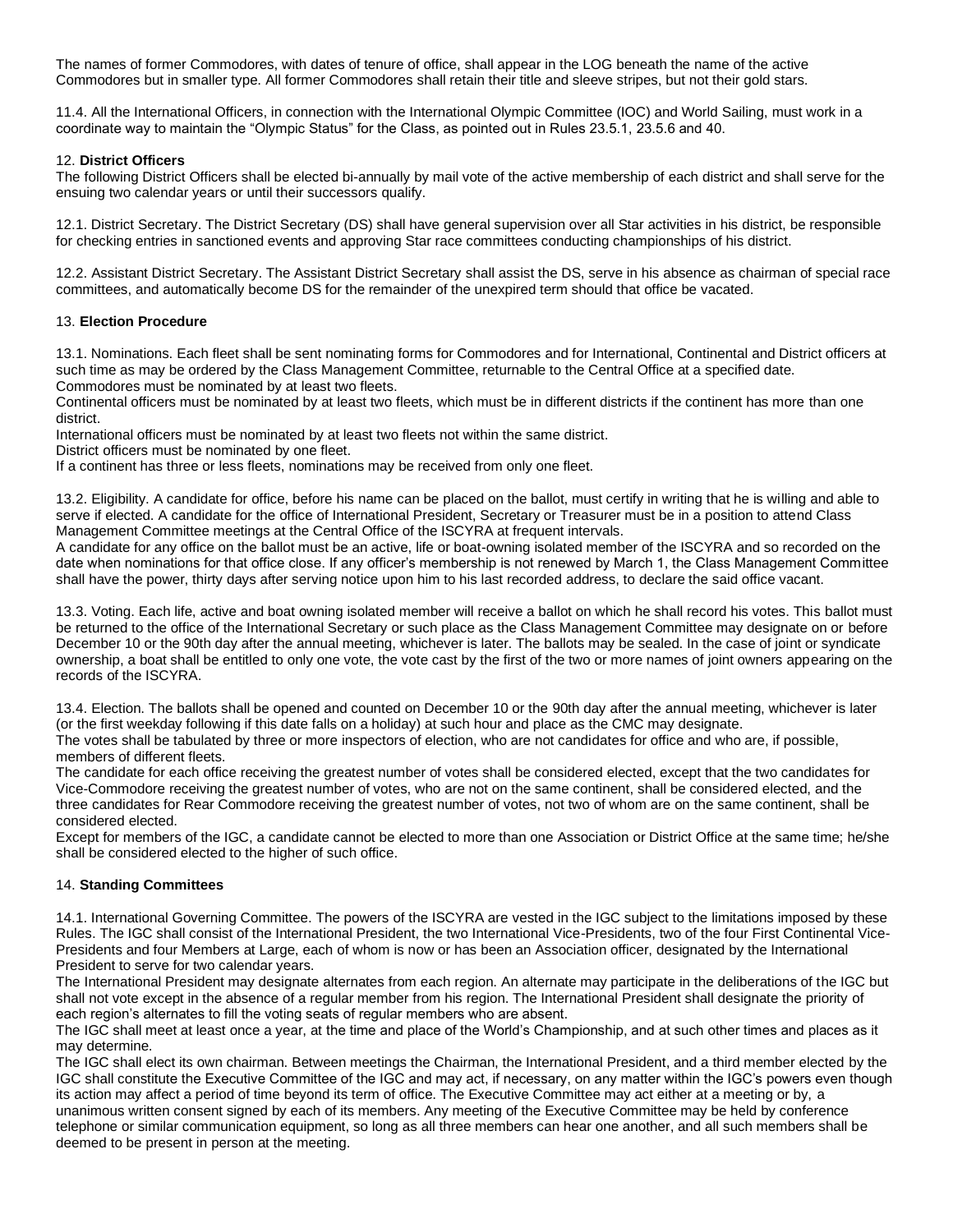The names of former Commodores, with dates of tenure of office, shall appear in the LOG beneath the name of the active Commodores but in smaller type. All former Commodores shall retain their title and sleeve stripes, but not their gold stars.

11.4. All the International Officers, in connection with the International Olympic Committee (IOC) and World Sailing, must work in a coordinate way to maintain the "Olympic Status" for the Class, as pointed out in Rules 23.5.1, 23.5.6 and 40.

## <span id="page-5-2"></span>12. **District Officers**

The following District Officers shall be elected bi-annually by mail vote of the active membership of each district and shall serve for the ensuing two calendar years or until their successors qualify.

12.1. District Secretary. The District Secretary (DS) shall have general supervision over all Star activities in his district, be responsible for checking entries in sanctioned events and approving Star race committees conducting championships of his district.

12.2. Assistant District Secretary. The Assistant District Secretary shall assist the DS, serve in his absence as chairman of special race committees, and automatically become DS for the remainder of the unexpired term should that office be vacated.

## <span id="page-5-5"></span><span id="page-5-3"></span>13. **Election Procedure**

13.1. Nominations. Each fleet shall be sent nominating forms for Commodores and for International, Continental and District officers at such time as may be ordered by the Class Management Committee, returnable to the Central Office at a specified date. Commodores must be nominated by at least two fleets.

Continental officers must be nominated by at least two fleets, which must be in different districts if the continent has more than one district.

International officers must be nominated by at least two fleets not within the same district.

District officers must be nominated by one fleet.

<span id="page-5-4"></span>If a continent has three or less fleets, nominations may be received from only one fleet.

13.2. Eligibility. A candidate for office, before his name can be placed on the ballot, must certify in writing that he is willing and able to serve if elected. A candidate for the office of International President, Secretary or Treasurer must be in a position to attend Class Management Committee meetings at the Central Office of the ISCYRA at frequent intervals.

A candidate for any office on the ballot must be an active, life or boat-owning isolated member of the ISCYRA and so recorded on the date when nominations for that office close. If any officer's membership is not renewed by March 1, the Class Management Committee shall have the power, thirty days after serving notice upon him to his last recorded address, to declare the said office vacant.

<span id="page-5-0"></span>13.3. Voting. Each life, active and boat owning isolated member will receive a ballot on which he shall record his votes. This ballot must be returned to the office of the International Secretary or such place as the Class Management Committee may designate on or before December 10 or the 90th day after the annual meeting, whichever is later. The ballots may be sealed. In the case of joint or syndicate ownership, a boat shall be entitled to only one vote, the vote cast by the first of the two or more names of joint owners appearing on the records of the ISCYRA.

<span id="page-5-1"></span>13.4. Election. The ballots shall be opened and counted on December 10 or the 90th day after the annual meeting, whichever is later (or the first weekday following if this date falls on a holiday) at such hour and place as the CMC may designate.

The votes shall be tabulated by three or more inspectors of election, who are not candidates for office and who are, if possible, members of different fleets.

The candidate for each office receiving the greatest number of votes shall be considered elected, except that the two candidates for Vice-Commodore receiving the greatest number of votes, who are not on the same continent, shall be considered elected, and the three candidates for Rear Commodore receiving the greatest number of votes, not two of whom are on the same continent, shall be considered elected.

Except for members of the IGC, a candidate cannot be elected to more than one Association or District Office at the same time; he/she shall be considered elected to the higher of such office.

## 14. **Standing Committees**

<span id="page-5-6"></span>14.1. International Governing Committee. The powers of the ISCYRA are vested in the IGC subject to the limitations imposed by these Rules. The IGC shall consist of the International President, the two International Vice-Presidents, two of the four First Continental Vice-Presidents and four Members at Large, each of whom is now or has been an Association officer, designated by the International President to serve for two calendar years.

The International President may designate alternates from each region. An alternate may participate in the deliberations of the IGC but shall not vote except in the absence of a regular member from his region. The International President shall designate the priority of each region's alternates to fill the voting seats of regular members who are absent.

The IGC shall meet at least once a year, at the time and place of the World's Championship, and at such other times and places as it may determine.

The IGC shall elect its own chairman. Between meetings the Chairman, the International President, and a third member elected by the IGC shall constitute the Executive Committee of the IGC and may act, if necessary, on any matter within the IGC's powers even though its action may affect a period of time beyond its term of office. The Executive Committee may act either at a meeting or by, a unanimous written consent signed by each of its members. Any meeting of the Executive Committee may be held by conference telephone or similar communication equipment, so long as all three members can hear one another, and all such members shall be deemed to be present in person at the meeting.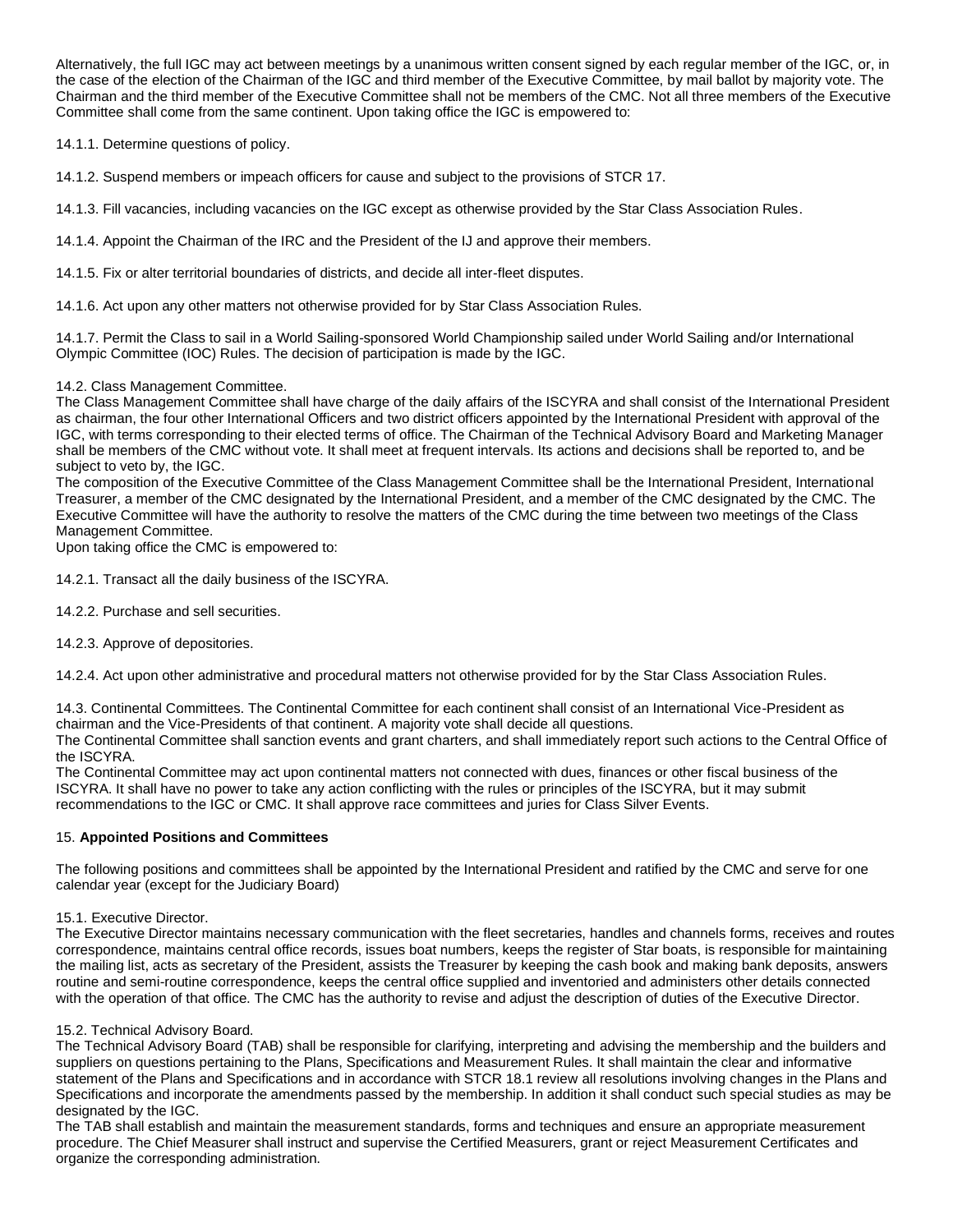Alternatively, the full IGC may act between meetings by a unanimous written consent signed by each regular member of the IGC, or, in the case of the election of the Chairman of the IGC and third member of the Executive Committee, by mail ballot by majority vote. The Chairman and the third member of the Executive Committee shall not be members of the CMC. Not all three members of the Executive Committee shall come from the same continent. Upon taking office the IGC is empowered to:

14.1.1. Determine questions of policy.

<span id="page-6-3"></span>14.1.2. Suspend members or impeach officers for cause and subject to the provisions of STCR 17.

14.1.3. Fill vacancies, including vacancies on the IGC except as otherwise provided by the Star Class Association Rules.

14.1.4. Appoint the Chairman of the IRC and the President of the IJ and approve their members.

14.1.5. Fix or alter territorial boundaries of districts, and decide all inter-fleet disputes.

14.1.6. Act upon any other matters not otherwise provided for by Star Class Association Rules.

14.1.7. Permit the Class to sail in a World Sailing-sponsored World Championship sailed under World Sailing and/or International Olympic Committee (IOC) Rules. The decision of participation is made by the IGC.

## <span id="page-6-1"></span>14.2. Class Management Committee.

The Class Management Committee shall have charge of the daily affairs of the ISCYRA and shall consist of the International President as chairman, the four other International Officers and two district officers appointed by the International President with approval of the IGC, with terms corresponding to their elected terms of office. The Chairman of the Technical Advisory Board and Marketing Manager shall be members of the CMC without vote. It shall meet at frequent intervals. Its actions and decisions shall be reported to, and be subject to veto by, the IGC.

The composition of the Executive Committee of the Class Management Committee shall be the International President, International Treasurer, a member of the CMC designated by the International President, and a member of the CMC designated by the CMC. The Executive Committee will have the authority to resolve the matters of the CMC during the time between two meetings of the Class Management Committee.

Upon taking office the CMC is empowered to:

14.2.1. Transact all the daily business of the ISCYRA.

14.2.2. Purchase and sell securities.

14.2.3. Approve of depositories.

<span id="page-6-2"></span>14.2.4. Act upon other administrative and procedural matters not otherwise provided for by the Star Class Association Rules.

14.3. Continental Committees. The Continental Committee for each continent shall consist of an International Vice-President as chairman and the Vice-Presidents of that continent. A majority vote shall decide all questions.

The Continental Committee shall sanction events and grant charters, and shall immediately report such actions to the Central Office of the ISCYRA.

The Continental Committee may act upon continental matters not connected with dues, finances or other fiscal business of the ISCYRA. It shall have no power to take any action conflicting with the rules or principles of the ISCYRA, but it may submit recommendations to the IGC or CMC. It shall approve race committees and juries for Class Silver Events.

## 15. **Appointed Positions and Committees**

The following positions and committees shall be appointed by the International President and ratified by the CMC and serve for one calendar year (except for the Judiciary Board)

<span id="page-6-0"></span>15.1. Executive Director.

The Executive Director maintains necessary communication with the fleet secretaries, handles and channels forms, receives and routes correspondence, maintains central office records, issues boat numbers, keeps the register of Star boats, is responsible for maintaining the mailing list, acts as secretary of the President, assists the Treasurer by keeping the cash book and making bank deposits, answers routine and semi-routine correspondence, keeps the central office supplied and inventoried and administers other details connected with the operation of that office. The CMC has the authority to revise and adjust the description of duties of the Executive Director.

## <span id="page-6-4"></span>15.2. Technical Advisory Board.

The Technical Advisory Board (TAB) shall be responsible for clarifying, interpreting and advising the membership and the builders and suppliers on questions pertaining to the Plans, Specifications and Measurement Rules. It shall maintain the clear and informative statement of the Plans and Specifications and in accordance with STCR 18.1 review all resolutions involving changes in the Plans and Specifications and incorporate the amendments passed by the membership. In addition it shall conduct such special studies as may be designated by the IGC.

The TAB shall establish and maintain the measurement standards, forms and techniques and ensure an appropriate measurement procedure. The Chief Measurer shall instruct and supervise the Certified Measurers, grant or reject Measurement Certificates and organize the corresponding administration.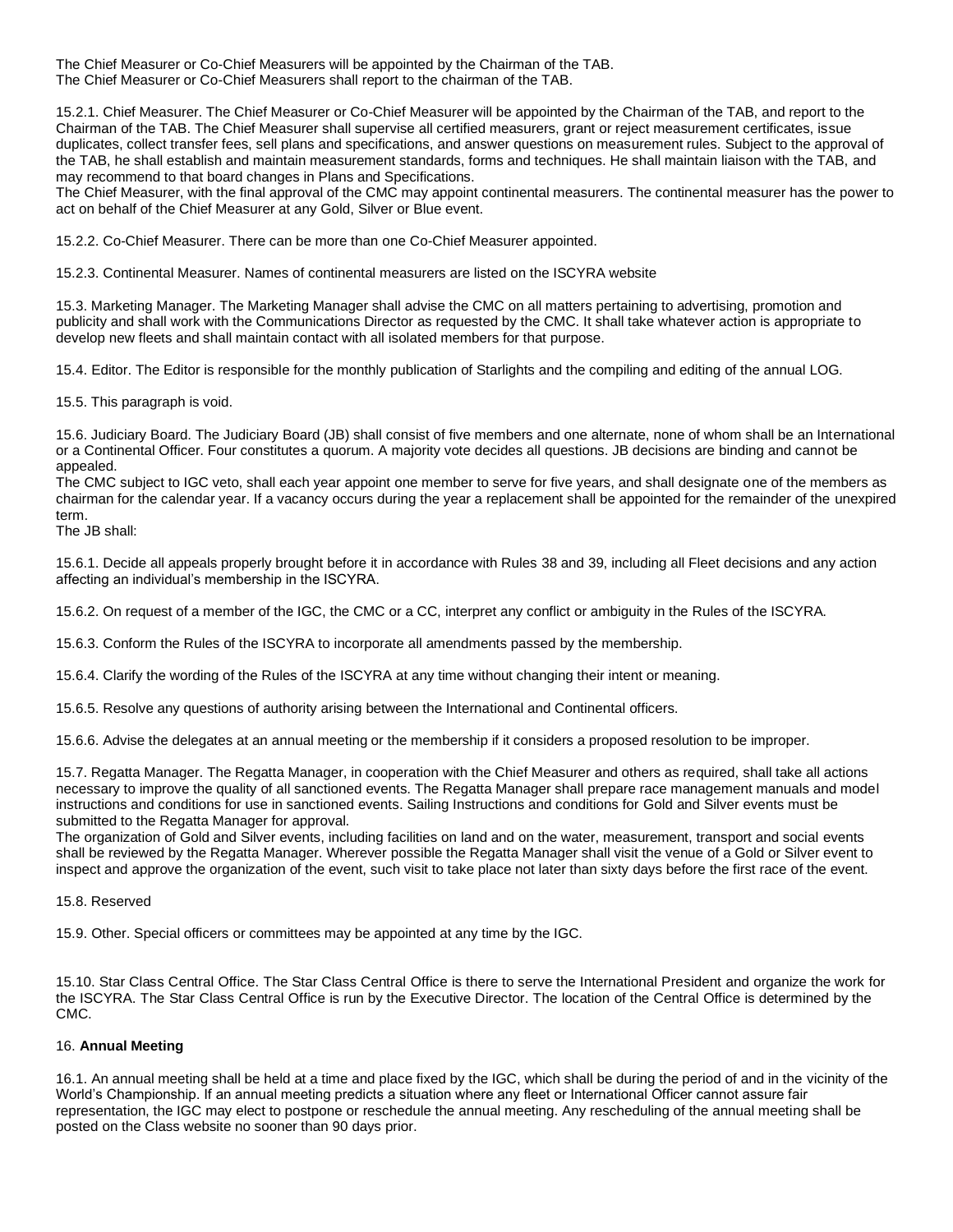The Chief Measurer or Co-Chief Measurers will be appointed by the Chairman of the TAB. The Chief Measurer or Co-Chief Measurers shall report to the chairman of the TAB.

15.2.1. Chief Measurer. The Chief Measurer or Co-Chief Measurer will be appointed by the Chairman of the TAB, and report to the Chairman of the TAB. The Chief Measurer shall supervise all certified measurers, grant or reject measurement certificates, issue duplicates, collect transfer fees, sell plans and specifications, and answer questions on measurement rules. Subject to the approval of the TAB, he shall establish and maintain measurement standards, forms and techniques. He shall maintain liaison with the TAB, and may recommend to that board changes in Plans and Specifications.

The Chief Measurer, with the final approval of the CMC may appoint continental measurers. The continental measurer has the power to act on behalf of the Chief Measurer at any Gold, Silver or Blue event.

15.2.2. Co-Chief Measurer. There can be more than one Co-Chief Measurer appointed.

<span id="page-7-4"></span>15.2.3. Continental Measurer. Names of continental measurers are listed on the ISCYRA website

15.3. Marketing Manager. The Marketing Manager shall advise the CMC on all matters pertaining to advertising, promotion and publicity and shall work with the Communications Director as requested by the CMC. It shall take whatever action is appropriate to develop new fleets and shall maintain contact with all isolated members for that purpose.

<span id="page-7-2"></span>15.4. Editor. The Editor is responsible for the monthly publication of Starlights and the compiling and editing of the annual LOG.

<span id="page-7-3"></span>15.5. This paragraph is void.

15.6. Judiciary Board. The Judiciary Board (JB) shall consist of five members and one alternate, none of whom shall be an International or a Continental Officer. Four constitutes a quorum. A majority vote decides all questions. JB decisions are binding and cannot be appealed.

The CMC subject to IGC veto, shall each year appoint one member to serve for five years, and shall designate one of the members as chairman for the calendar year. If a vacancy occurs during the year a replacement shall be appointed for the remainder of the unexpired term.

<span id="page-7-1"></span>The JB shall:

15.6.1. Decide all appeals properly brought before it in accordance with Rules 38 and 39, including all Fleet decisions and any action affecting an individual's membership in the ISCYRA.

15.6.2. On request of a member of the IGC, the CMC or a CC, interpret any conflict or ambiguity in the Rules of the ISCYRA.

15.6.3. Conform the Rules of the ISCYRA to incorporate all amendments passed by the membership.

15.6.4. Clarify the wording of the Rules of the ISCYRA at any time without changing their intent or meaning.

15.6.5. Resolve any questions of authority arising between the International and Continental officers.

<span id="page-7-5"></span>15.6.6. Advise the delegates at an annual meeting or the membership if it considers a proposed resolution to be improper.

15.7. Regatta Manager. The Regatta Manager, in cooperation with the Chief Measurer and others as required, shall take all actions necessary to improve the quality of all sanctioned events. The Regatta Manager shall prepare race management manuals and model instructions and conditions for use in sanctioned events. Sailing Instructions and conditions for Gold and Silver events must be submitted to the Regatta Manager for approval.

The organization of Gold and Silver events, including facilities on land and on the water, measurement, transport and social events shall be reviewed by the Regatta Manager. Wherever possible the Regatta Manager shall visit the venue of a Gold or Silver event to inspect and approve the organization of the event, such visit to take place not later than sixty days before the first race of the event.

15.8. Reserved

15.9. Other. Special officers or committees may be appointed at any time by the IGC.

15.10. Star Class Central Office. The Star Class Central Office is there to serve the International President and organize the work for the ISCYRA. The Star Class Central Office is run by the Executive Director. The location of the Central Office is determined by the CMC.

### <span id="page-7-0"></span>16. **Annual Meeting**

16.1. An annual meeting shall be held at a time and place fixed by the IGC, which shall be during the period of and in the vicinity of the World's Championship. If an annual meeting predicts a situation where any fleet or International Officer cannot assure fair representation, the IGC may elect to postpone or reschedule the annual meeting. Any rescheduling of the annual meeting shall be posted on the Class website no sooner than 90 days prior.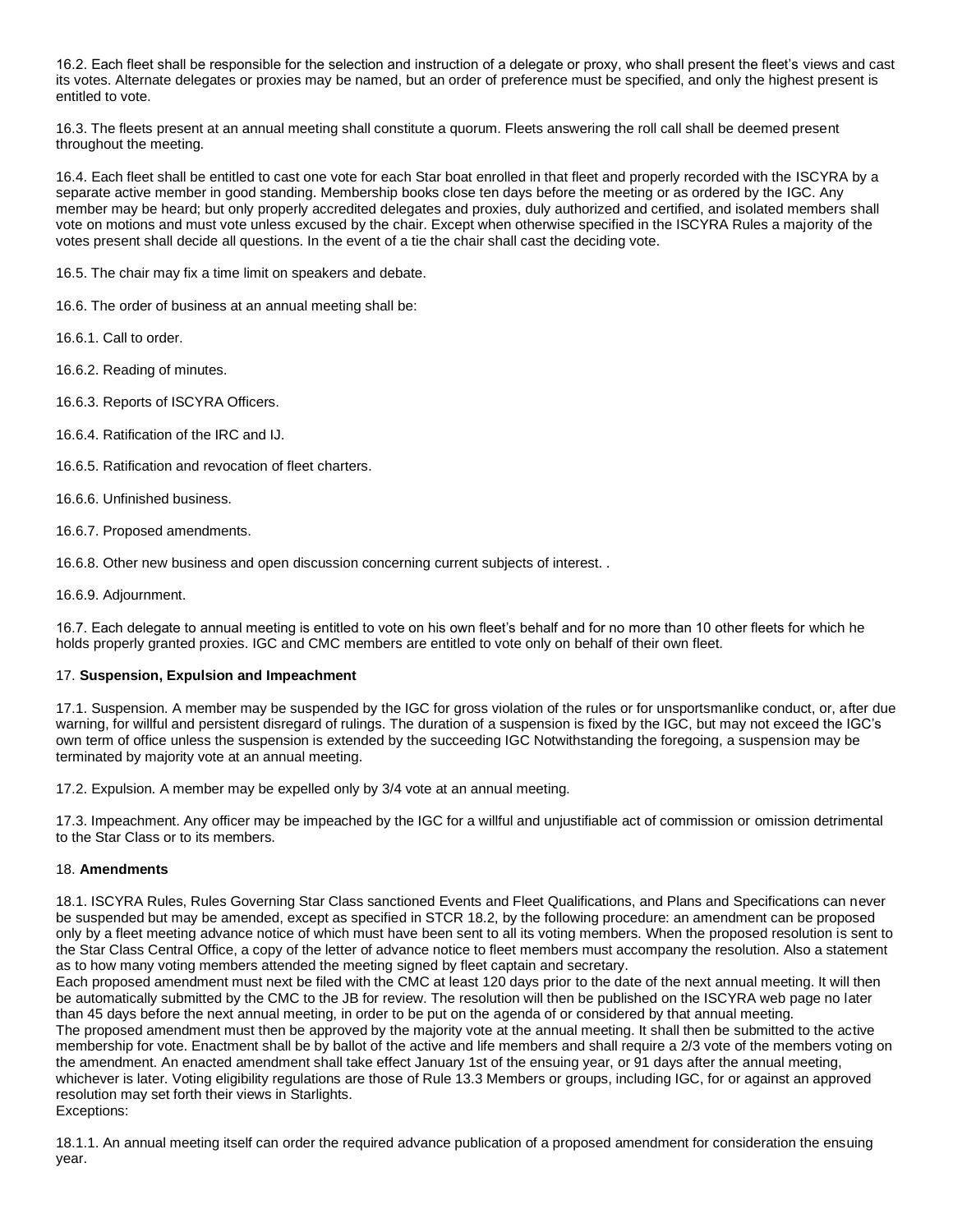16.2. Each fleet shall be responsible for the selection and instruction of a delegate or proxy, who shall present the fleet's views and cast its votes. Alternate delegates or proxies may be named, but an order of preference must be specified, and only the highest present is entitled to vote.

16.3. The fleets present at an annual meeting shall constitute a quorum. Fleets answering the roll call shall be deemed present throughout the meeting.

16.4. Each fleet shall be entitled to cast one vote for each Star boat enrolled in that fleet and properly recorded with the ISCYRA by a separate active member in good standing. Membership books close ten days before the meeting or as ordered by the IGC. Any member may be heard; but only properly accredited delegates and proxies, duly authorized and certified, and isolated members shall vote on motions and must vote unless excused by the chair. Except when otherwise specified in the ISCYRA Rules a majority of the votes present shall decide all questions. In the event of a tie the chair shall cast the deciding vote.

16.5. The chair may fix a time limit on speakers and debate.

16.6. The order of business at an annual meeting shall be:

16.6.1. Call to order.

16.6.2. Reading of minutes.

16.6.3. Reports of ISCYRA Officers.

16.6.4. Ratification of the IRC and IJ.

16.6.5. Ratification and revocation of fleet charters.

16.6.6. Unfinished business.

16.6.7. Proposed amendments.

16.6.8. Other new business and open discussion concerning current subjects of interest. .

16.6.9. Adjournment.

16.7. Each delegate to annual meeting is entitled to vote on his own fleet's behalf and for no more than 10 other fleets for which he holds properly granted proxies. IGC and CMC members are entitled to vote only on behalf of their own fleet.

### <span id="page-8-1"></span>17. **Suspension, Expulsion and Impeachment**

17.1. Suspension. A member may be suspended by the IGC for gross violation of the rules or for unsportsmanlike conduct, or, after due warning, for willful and persistent disregard of rulings. The duration of a suspension is fixed by the IGC, but may not exceed the IGC's own term of office unless the suspension is extended by the succeeding IGC Notwithstanding the foregoing, a suspension may be terminated by majority vote at an annual meeting.

17.2. Expulsion. A member may be expelled only by 3/4 vote at an annual meeting.

17.3. Impeachment. Any officer may be impeached by the IGC for a willful and unjustifiable act of commission or omission detrimental to the Star Class or to its members.

## <span id="page-8-0"></span>18. **Amendments**

18.1. ISCYRA Rules, Rules Governing Star Class sanctioned Events and Fleet Qualifications, and Plans and Specifications can never be suspended but may be amended, except as specified in STCR 18.2, by the following procedure: an amendment can be proposed only by a fleet meeting advance notice of which must have been sent to all its voting members. When the proposed resolution is sent to the Star Class Central Office, a copy of the letter of advance notice to fleet members must accompany the resolution. Also a statement as to how many voting members attended the meeting signed by fleet captain and secretary.

Each proposed amendment must next be filed with the CMC at least 120 days prior to the date of the next annual meeting. It will then be automatically submitted by the CMC to the JB for review. The resolution will then be published on the ISCYRA web page no later than 45 days before the next annual meeting, in order to be put on the agenda of or considered by that annual meeting. The proposed amendment must then be approved by the majority vote at the annual meeting. It shall then be submitted to the active membership for vote. Enactment shall be by ballot of the active and life members and shall require a 2/3 vote of the members voting on the amendment. An enacted amendment shall take effect January 1st of the ensuing year, or 91 days after the annual meeting, whichever is later. Voting eligibility regulations are those of Rule 13.3 Members or groups, including IGC, for or against an approved resolution may set forth their views in Starlights. Exceptions:

18.1.1. An annual meeting itself can order the required advance publication of a proposed amendment for consideration the ensuing year.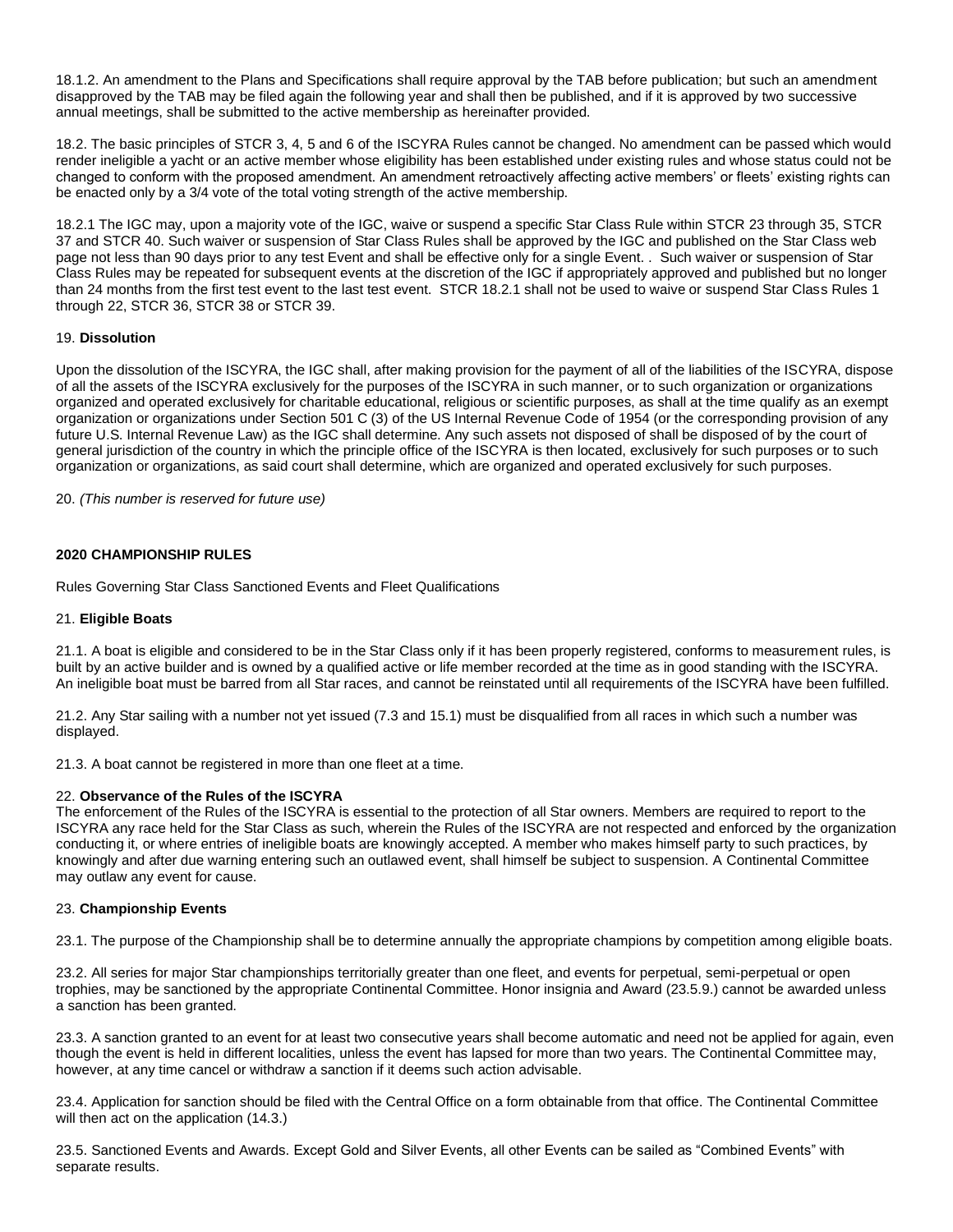18.1.2. An amendment to the Plans and Specifications shall require approval by the TAB before publication; but such an amendment disapproved by the TAB may be filed again the following year and shall then be published, and if it is approved by two successive annual meetings, shall be submitted to the active membership as hereinafter provided.

18.2. The basic principles of STCR 3, 4, 5 and 6 of the ISCYRA Rules cannot be changed. No amendment can be passed which would render ineligible a yacht or an active member whose eligibility has been established under existing rules and whose status could not be changed to conform with the proposed amendment. An amendment retroactively affecting active members' or fleets' existing rights can be enacted only by a 3/4 vote of the total voting strength of the active membership.

18.2.1 The IGC may, upon a majority vote of the IGC, waive or suspend a specific Star Class Rule within STCR 23 through 35, STCR 37 and STCR 40. Such waiver or suspension of Star Class Rules shall be approved by the IGC and published on the Star Class web page not less than 90 days prior to any test Event and shall be effective only for a single Event. . Such waiver or suspension of Star Class Rules may be repeated for subsequent events at the discretion of the IGC if appropriately approved and published but no longer than 24 months from the first test event to the last test event. STCR 18.2.1 shall not be used to waive or suspend Star Class Rules 1 through 22, STCR 36, STCR 38 or STCR 39.

## <span id="page-9-3"></span>19. **Dissolution**

Upon the dissolution of the ISCYRA, the IGC shall, after making provision for the payment of all of the liabilities of the ISCYRA, dispose of all the assets of the ISCYRA exclusively for the purposes of the ISCYRA in such manner, or to such organization or organizations organized and operated exclusively for charitable educational, religious or scientific purposes, as shall at the time qualify as an exempt organization or organizations under Section 501 C (3) of the US Internal Revenue Code of 1954 (or the corresponding provision of any future U.S. Internal Revenue Law) as the IGC shall determine. Any such assets not disposed of shall be disposed of by the court of general jurisdiction of the country in which the principle office of the ISCYRA is then located, exclusively for such purposes or to such organization or organizations, as said court shall determine, which are organized and operated exclusively for such purposes.

20. *(This number is reserved for future use)*

## **2020 CHAMPIONSHIP RULES**

<span id="page-9-1"></span>Rules Governing Star Class Sanctioned Events and Fleet Qualifications

### 21. **Eligible Boats**

21.1. A boat is eligible and considered to be in the Star Class only if it has been properly registered, conforms to measurement rules, is built by an active builder and is owned by a qualified active or life member recorded at the time as in good standing with the ISCYRA. An ineligible boat must be barred from all Star races, and cannot be reinstated until all requirements of the ISCYRA have been fulfilled.

21.2. Any Star sailing with a number not yet issued (7.3 and 15.1) must be disqualified from all races in which such a number was displayed.

21.3. A boat cannot be registered in more than one fleet at a time.

## <span id="page-9-2"></span>22. **Observance of the Rules of the ISCYRA**

The enforcement of the Rules of the ISCYRA is essential to the protection of all Star owners. Members are required to report to the ISCYRA any race held for the Star Class as such, wherein the Rules of the ISCYRA are not respected and enforced by the organization conducting it, or where entries of ineligible boats are knowingly accepted. A member who makes himself party to such practices, by knowingly and after due warning entering such an outlawed event, shall himself be subject to suspension. A Continental Committee may outlaw any event for cause.

## <span id="page-9-0"></span>23. **Championship Events**

23.1. The purpose of the Championship shall be to determine annually the appropriate champions by competition among eligible boats.

23.2. All series for major Star championships territorially greater than one fleet, and events for perpetual, semi-perpetual or open trophies, may be sanctioned by the appropriate Continental Committee. Honor insignia and Award (23.5.9.) cannot be awarded unless a sanction has been granted.

23.3. A sanction granted to an event for at least two consecutive years shall become automatic and need not be applied for again, even though the event is held in different localities, unless the event has lapsed for more than two years. The Continental Committee may, however, at any time cancel or withdraw a sanction if it deems such action advisable.

23.4. Application for sanction should be filed with the Central Office on a form obtainable from that office. The Continental Committee will then act on the application (14.3.)

23.5. Sanctioned Events and Awards. Except Gold and Silver Events, all other Events can be sailed as "Combined Events" with separate results.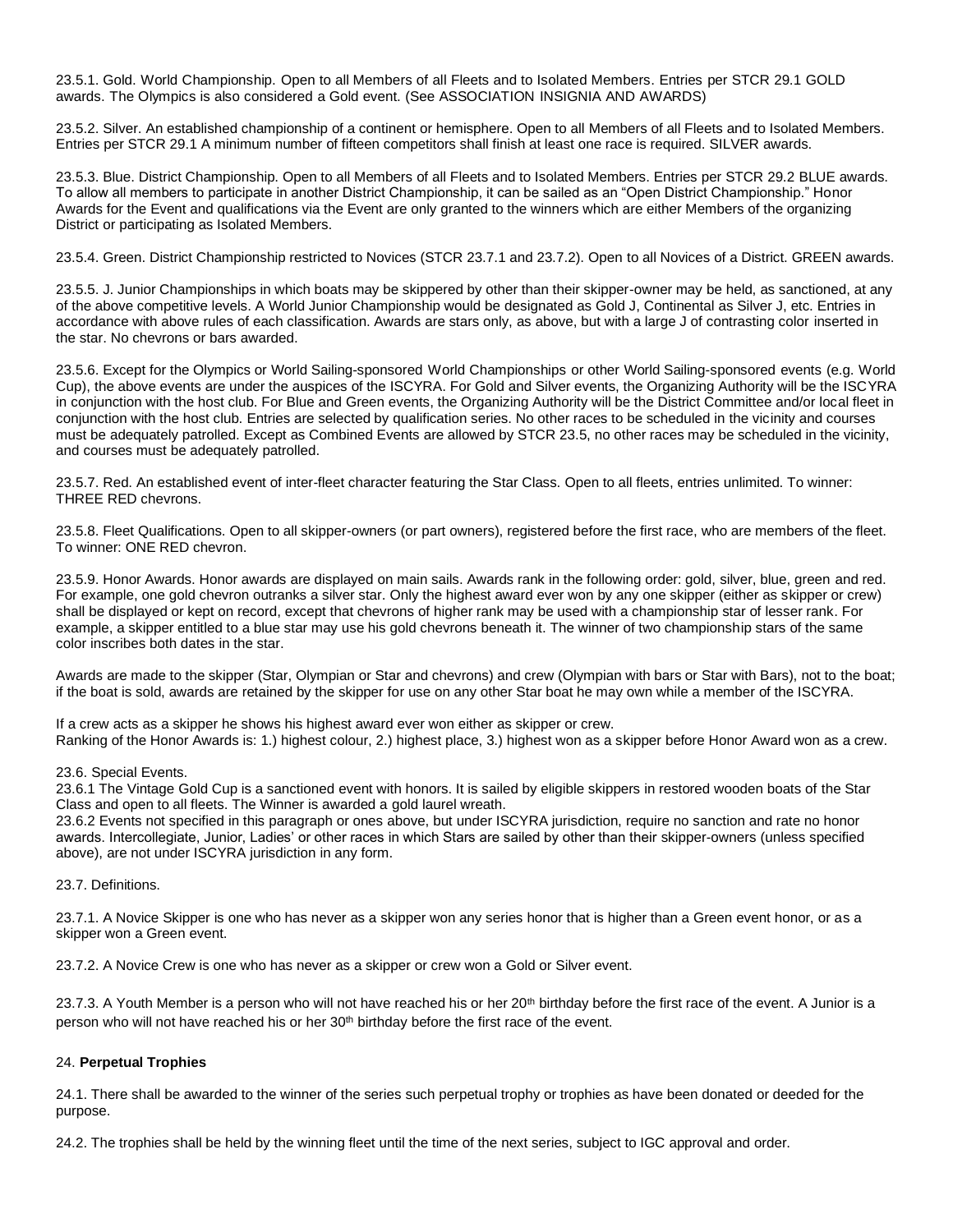23.5.1. Gold. World Championship. Open to all Members of all Fleets and to Isolated Members. Entries per STCR 29.1 GOLD awards. The Olympics is also considered a Gold event. (See ASSOCIATION INSIGNIA AND AWARDS)

23.5.2. Silver. An established championship of a continent or hemisphere. Open to all Members of all Fleets and to Isolated Members. Entries per STCR 29.1 A minimum number of fifteen competitors shall finish at least one race is required. SILVER awards.

23.5.3. Blue. District Championship. Open to all Members of all Fleets and to Isolated Members. Entries per STCR 29.2 BLUE awards. To allow all members to participate in another District Championship, it can be sailed as an "Open District Championship." Honor Awards for the Event and qualifications via the Event are only granted to the winners which are either Members of the organizing District or participating as Isolated Members.

23.5.4. Green. District Championship restricted to Novices (STCR 23.7.1 and 23.7.2). Open to all Novices of a District. GREEN awards.

23.5.5. J. Junior Championships in which boats may be skippered by other than their skipper-owner may be held, as sanctioned, at any of the above competitive levels. A World Junior Championship would be designated as Gold J, Continental as Silver J, etc. Entries in accordance with above rules of each classification. Awards are stars only, as above, but with a large J of contrasting color inserted in the star. No chevrons or bars awarded.

23.5.6. Except for the Olympics or World Sailing-sponsored World Championships or other World Sailing-sponsored events (e.g. World Cup), the above events are under the auspices of the ISCYRA. For Gold and Silver events, the Organizing Authority will be the ISCYRA in conjunction with the host club. For Blue and Green events, the Organizing Authority will be the District Committee and/or local fleet in conjunction with the host club. Entries are selected by qualification series. No other races to be scheduled in the vicinity and courses must be adequately patrolled. Except as Combined Events are allowed by STCR 23.5, no other races may be scheduled in the vicinity, and courses must be adequately patrolled.

23.5.7. Red. An established event of inter-fleet character featuring the Star Class. Open to all fleets, entries unlimited. To winner: THREE RED chevrons.

<span id="page-10-2"></span>23.5.8. Fleet Qualifications. Open to all skipper-owners (or part owners), registered before the first race, who are members of the fleet. To winner: ONE RED chevron.

23.5.9. Honor Awards. Honor awards are displayed on main sails. Awards rank in the following order: gold, silver, blue, green and red. For example, one gold chevron outranks a silver star. Only the highest award ever won by any one skipper (either as skipper or crew) shall be displayed or kept on record, except that chevrons of higher rank may be used with a championship star of lesser rank. For example, a skipper entitled to a blue star may use his gold chevrons beneath it. The winner of two championship stars of the same color inscribes both dates in the star.

Awards are made to the skipper (Star, Olympian or Star and chevrons) and crew (Olympian with bars or Star with Bars), not to the boat; if the boat is sold, awards are retained by the skipper for use on any other Star boat he may own while a member of the ISCYRA.

If a crew acts as a skipper he shows his highest award ever won either as skipper or crew. Ranking of the Honor Awards is: 1.) highest colour, 2.) highest place, 3.) highest won as a skipper before Honor Award won as a crew.

23.6. Special Events.

23.6.1 The Vintage Gold Cup is a sanctioned event with honors. It is sailed by eligible skippers in restored wooden boats of the Star Class and open to all fleets. The Winner is awarded a gold laurel wreath.

23.6.2 Events not specified in this paragraph or ones above, but under ISCYRA jurisdiction, require no sanction and rate no honor awards. Intercollegiate, Junior, Ladies' or other races in which Stars are sailed by other than their skipper-owners (unless specified above), are not under ISCYRA jurisdiction in any form.

<span id="page-10-0"></span>23.7. Definitions.

23.7.1. A Novice Skipper is one who has never as a skipper won any series honor that is higher than a Green event honor, or as a skipper won a Green event.

<span id="page-10-1"></span>23.7.2. A Novice Crew is one who has never as a skipper or crew won a Gold or Silver event.

<span id="page-10-3"></span>23.7.3. A Youth Member is a person who will not have reached his or her 20<sup>th</sup> birthday before the first race of the event. A Junior is a person who will not have reached his or her  $30<sup>th</sup>$  birthday before the first race of the event.

## 24. **Perpetual Trophies**

24.1. There shall be awarded to the winner of the series such perpetual trophy or trophies as have been donated or deeded for the purpose.

24.2. The trophies shall be held by the winning fleet until the time of the next series, subject to IGC approval and order.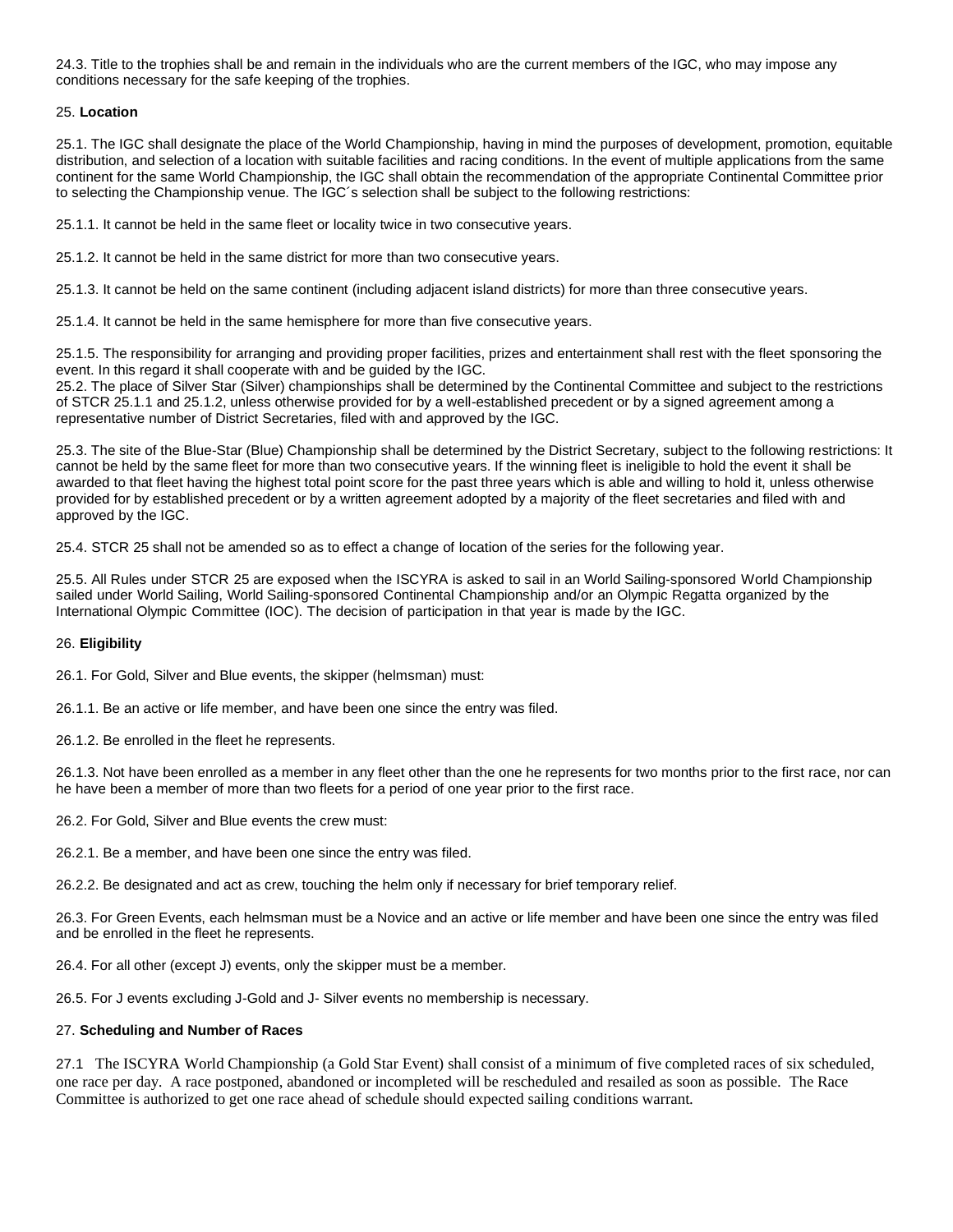24.3. Title to the trophies shall be and remain in the individuals who are the current members of the IGC, who may impose any conditions necessary for the safe keeping of the trophies.

## <span id="page-11-1"></span>25. **Location**

25.1. The IGC shall designate the place of the World Championship, having in mind the purposes of development, promotion, equitable distribution, and selection of a location with suitable facilities and racing conditions. In the event of multiple applications from the same continent for the same World Championship, the IGC shall obtain the recommendation of the appropriate Continental Committee prior to selecting the Championship venue. The IGC´s selection shall be subject to the following restrictions:

25.1.1. It cannot be held in the same fleet or locality twice in two consecutive years.

25.1.2. It cannot be held in the same district for more than two consecutive years.

25.1.3. It cannot be held on the same continent (including adjacent island districts) for more than three consecutive years.

25.1.4. It cannot be held in the same hemisphere for more than five consecutive years.

25.1.5. The responsibility for arranging and providing proper facilities, prizes and entertainment shall rest with the fleet sponsoring the event. In this regard it shall cooperate with and be guided by the IGC.

25.2. The place of Silver Star (Silver) championships shall be determined by the Continental Committee and subject to the restrictions of STCR 25.1.1 and 25.1.2, unless otherwise provided for by a well-established precedent or by a signed agreement among a representative number of District Secretaries, filed with and approved by the IGC.

25.3. The site of the Blue-Star (Blue) Championship shall be determined by the District Secretary, subject to the following restrictions: It cannot be held by the same fleet for more than two consecutive years. If the winning fleet is ineligible to hold the event it shall be awarded to that fleet having the highest total point score for the past three years which is able and willing to hold it, unless otherwise provided for by established precedent or by a written agreement adopted by a majority of the fleet secretaries and filed with and approved by the IGC.

25.4. STCR 25 shall not be amended so as to effect a change of location of the series for the following year.

25.5. All Rules under STCR 25 are exposed when the ISCYRA is asked to sail in an World Sailing-sponsored World Championship sailed under World Sailing, World Sailing-sponsored Continental Championship and/or an Olympic Regatta organized by the International Olympic Committee (IOC). The decision of participation in that year is made by the IGC.

### <span id="page-11-3"></span>26. **Eligibility**

26.1. For Gold, Silver and Blue events, the skipper (helmsman) must:

26.1.1. Be an active or life member, and have been one since the entry was filed.

26.1.2. Be enrolled in the fleet he represents.

26.1.3. Not have been enrolled as a member in any fleet other than the one he represents for two months prior to the first race, nor can he have been a member of more than two fleets for a period of one year prior to the first race.

<span id="page-11-2"></span>26.2. For Gold, Silver and Blue events the crew must:

26.2.1. Be a member, and have been one since the entry was filed.

26.2.2. Be designated and act as crew, touching the helm only if necessary for brief temporary relief.

26.3. For Green Events, each helmsman must be a Novice and an active or life member and have been one since the entry was filed and be enrolled in the fleet he represents.

26.4. For all other (except J) events, only the skipper must be a member.

<span id="page-11-0"></span>26.5. For J events excluding J-Gold and J- Silver events no membership is necessary.

## 27. **Scheduling and Number of Races**

27.1 The ISCYRA World Championship (a Gold Star Event) shall consist of a minimum of five completed races of six scheduled, one race per day. A race postponed, abandoned or incompleted will be rescheduled and resailed as soon as possible. The Race Committee is authorized to get one race ahead of schedule should expected sailing conditions warrant.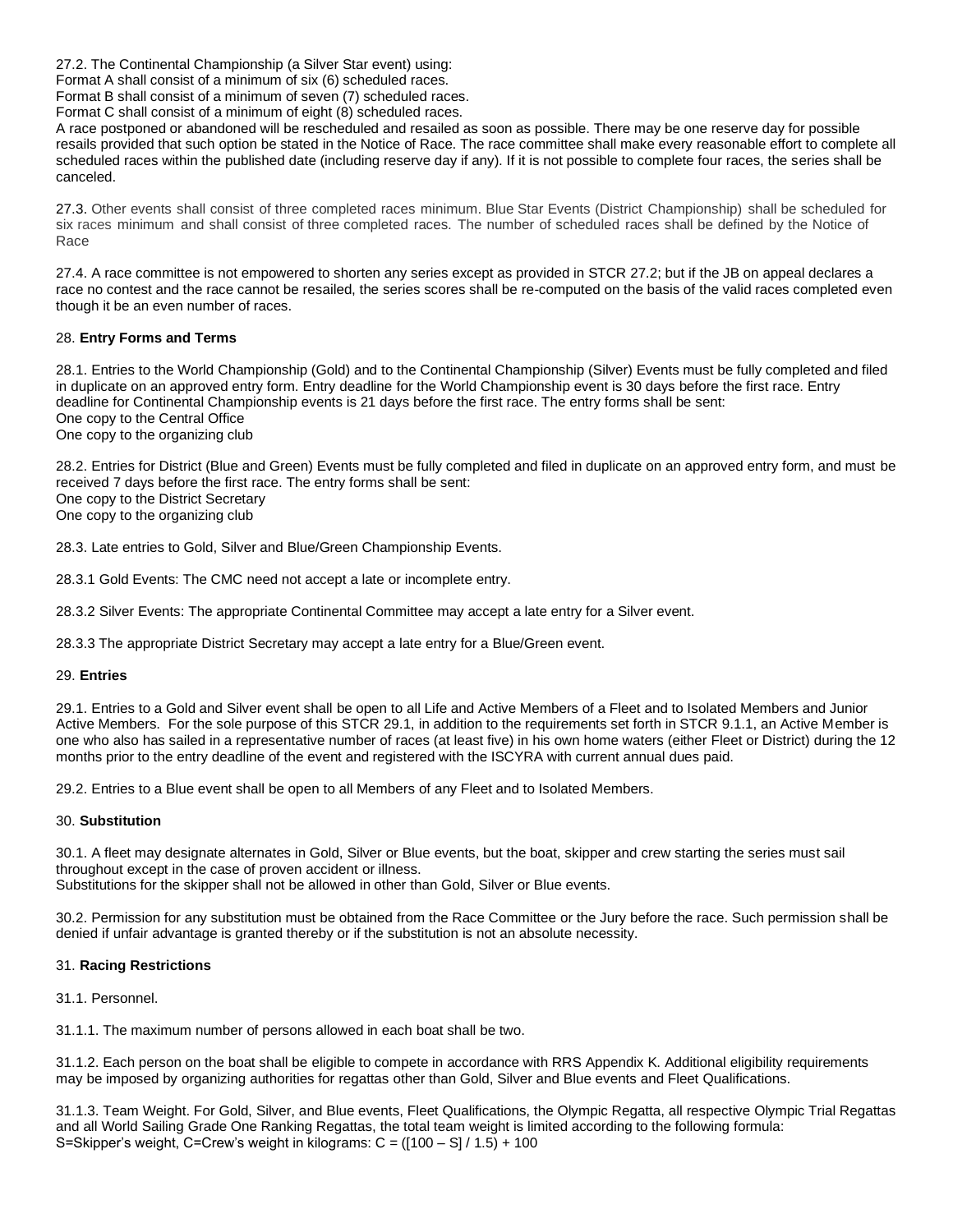27.2. The Continental Championship (a Silver Star event) using:

Format A shall consist of a minimum of six (6) scheduled races.

Format B shall consist of a minimum of seven (7) scheduled races.

Format C shall consist of a minimum of eight (8) scheduled races.

A race postponed or abandoned will be rescheduled and resailed as soon as possible. There may be one reserve day for possible resails provided that such option be stated in the Notice of Race. The race committee shall make every reasonable effort to complete all scheduled races within the published date (including reserve day if any). If it is not possible to complete four races, the series shall be canceled.

27.3. Other events shall consist of three completed races minimum. Blue Star Events (District Championship) shall be scheduled for six races minimum and shall consist of three completed races. The number of scheduled races shall be defined by the Notice of Race

<span id="page-12-2"></span>27.4. A race committee is not empowered to shorten any series except as provided in STCR 27.2; but if the JB on appeal declares a race no contest and the race cannot be resailed, the series scores shall be re-computed on the basis of the valid races completed even though it be an even number of races.

## <span id="page-12-0"></span>28. **Entry Forms and Terms**

28.1. Entries to the World Championship (Gold) and to the Continental Championship (Silver) Events must be fully completed and filed in duplicate on an approved entry form. Entry deadline for the World Championship event is 30 days before the first race. Entry deadline for Continental Championship events is 21 days before the first race. The entry forms shall be sent: One copy to the Central Office One copy to the organizing club

28.2. Entries for District (Blue and Green) Events must be fully completed and filed in duplicate on an approved entry form, and must be received 7 days before the first race. The entry forms shall be sent: One copy to the District Secretary One copy to the organizing club

28.3. Late entries to Gold, Silver and Blue/Green Championship Events.

28.3.1 Gold Events: The CMC need not accept a late or incomplete entry.

28.3.2 Silver Events: The appropriate Continental Committee may accept a late entry for a Silver event.

<span id="page-12-1"></span>28.3.3 The appropriate District Secretary may accept a late entry for a Blue/Green event.

## 29. **Entries**

29.1. Entries to a Gold and Silver event shall be open to all Life and Active Members of a Fleet and to Isolated Members and Junior Active Members. For the sole purpose of this STCR 29.1, in addition to the requirements set forth in STCR 9.1.1, an Active Member is one who also has sailed in a representative number of races (at least five) in his own home waters (either Fleet or District) during the 12 months prior to the entry deadline of the event and registered with the ISCYRA with current annual dues paid.

29.2. Entries to a Blue event shall be open to all Members of any Fleet and to Isolated Members.

## <span id="page-12-5"></span>30. **Substitution**

30.1. A fleet may designate alternates in Gold, Silver or Blue events, but the boat, skipper and crew starting the series must sail throughout except in the case of proven accident or illness.

Substitutions for the skipper shall not be allowed in other than Gold, Silver or Blue events.

30.2. Permission for any substitution must be obtained from the Race Committee or the Jury before the race. Such permission shall be denied if unfair advantage is granted thereby or if the substitution is not an absolute necessity.

## <span id="page-12-4"></span><span id="page-12-3"></span>31. **Racing Restrictions**

31.1. Personnel.

31.1.1. The maximum number of persons allowed in each boat shall be two.

31.1.2. Each person on the boat shall be eligible to compete in accordance with RRS Appendix K. Additional eligibility requirements may be imposed by organizing authorities for regattas other than Gold, Silver and Blue events and Fleet Qualifications.

<span id="page-12-6"></span>31.1.3. Team Weight. For Gold, Silver, and Blue events, Fleet Qualifications, the Olympic Regatta, all respective Olympic Trial Regattas and all World Sailing Grade One Ranking Regattas, the total team weight is limited according to the following formula: S=Skipper's weight, C=Crew's weight in kilograms: C = ([100 – S] / 1.5) + 100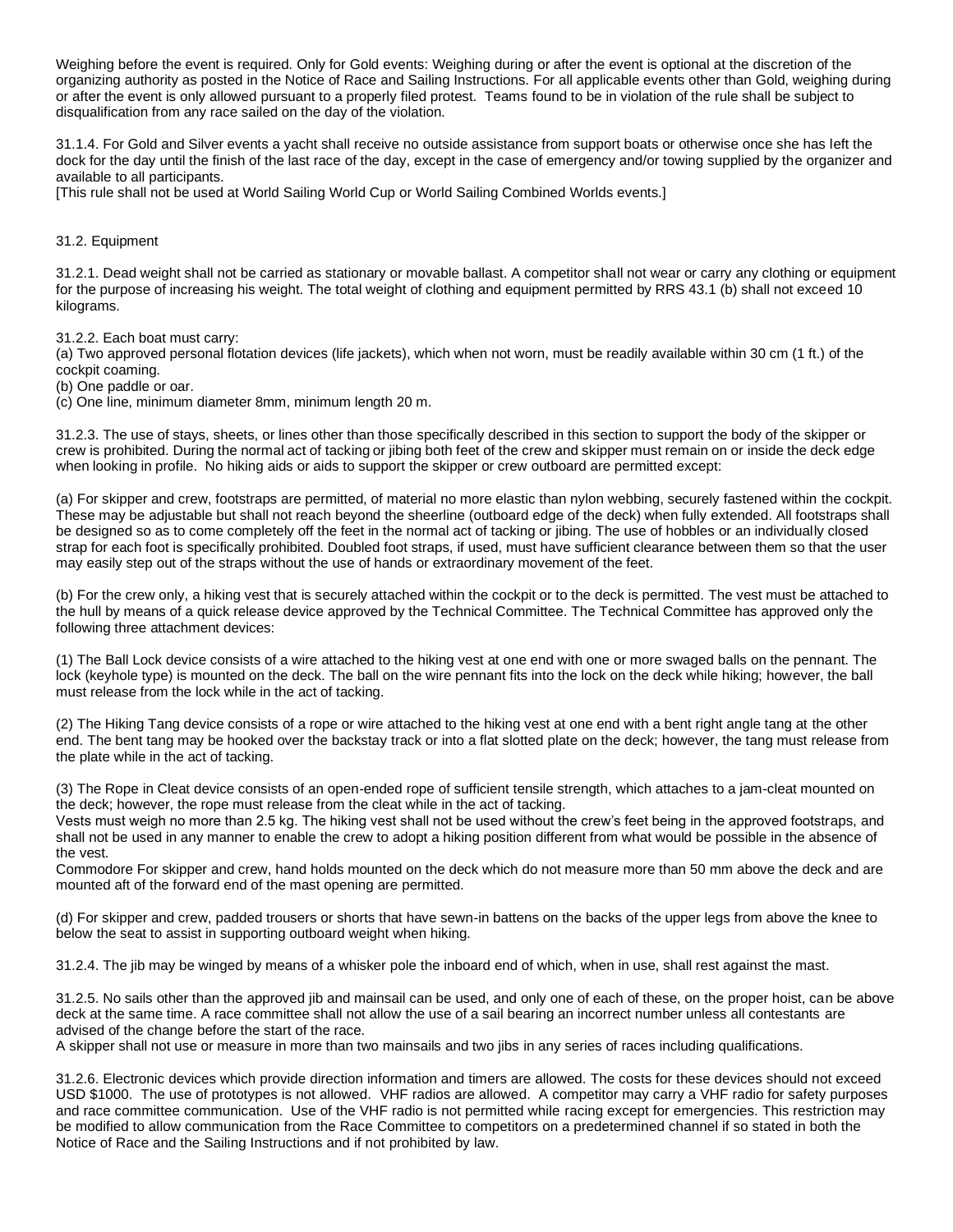Weighing before the event is required. Only for Gold events: Weighing during or after the event is optional at the discretion of the organizing authority as posted in the Notice of Race and Sailing Instructions. For all applicable events other than Gold, weighing during or after the event is only allowed pursuant to a properly filed protest. Teams found to be in violation of the rule shall be subject to disqualification from any race sailed on the day of the violation.

31.1.4. For Gold and Silver events a yacht shall receive no outside assistance from support boats or otherwise once she has left the dock for the day until the finish of the last race of the day, except in the case of emergency and/or towing supplied by the organizer and available to all participants.

[This rule shall not be used at World Sailing World Cup or World Sailing Combined Worlds events.]

<span id="page-13-1"></span>31.2. Equipment

31.2.1. Dead weight shall not be carried as stationary or movable ballast. A competitor shall not wear or carry any clothing or equipment for the purpose of increasing his weight. The total weight of clothing and equipment permitted by RRS 43.1 (b) shall not exceed 10 kilograms.

31.2.2. Each boat must carry:

(a) Two approved personal flotation devices (life jackets), which when not worn, must be readily available within 30 cm (1 ft.) of the cockpit coaming.

(b) One paddle or oar.

(c) One line, minimum diameter 8mm, minimum length 20 m.

31.2.3. The use of stays, sheets, or lines other than those specifically described in this section to support the body of the skipper or crew is prohibited. During the normal act of tacking or jibing both feet of the crew and skipper must remain on or inside the deck edge when looking in profile. No hiking aids or aids to support the skipper or crew outboard are permitted except:

(a) For skipper and crew, footstraps are permitted, of material no more elastic than nylon webbing, securely fastened within the cockpit. These may be adjustable but shall not reach beyond the sheerline (outboard edge of the deck) when fully extended. All footstraps shall be designed so as to come completely off the feet in the normal act of tacking or jibing. The use of hobbles or an individually closed strap for each foot is specifically prohibited. Doubled foot straps, if used, must have sufficient clearance between them so that the user may easily step out of the straps without the use of hands or extraordinary movement of the feet.

(b) For the crew only, a hiking vest that is securely attached within the cockpit or to the deck is permitted. The vest must be attached to the hull by means of a quick release device approved by the Technical Committee. The Technical Committee has approved only the following three attachment devices:

(1) The Ball Lock device consists of a wire attached to the hiking vest at one end with one or more swaged balls on the pennant. The lock (keyhole type) is mounted on the deck. The ball on the wire pennant fits into the lock on the deck while hiking; however, the ball must release from the lock while in the act of tacking.

(2) The Hiking Tang device consists of a rope or wire attached to the hiking vest at one end with a bent right angle tang at the other end. The bent tang may be hooked over the backstay track or into a flat slotted plate on the deck; however, the tang must release from the plate while in the act of tacking.

(3) The Rope in Cleat device consists of an open-ended rope of sufficient tensile strength, which attaches to a jam-cleat mounted on the deck; however, the rope must release from the cleat while in the act of tacking.

Vests must weigh no more than 2.5 kg. The hiking vest shall not be used without the crew's feet being in the approved footstraps, and shall not be used in any manner to enable the crew to adopt a hiking position different from what would be possible in the absence of the vest.

Commodore For skipper and crew, hand holds mounted on the deck which do not measure more than 50 mm above the deck and are mounted aft of the forward end of the mast opening are permitted.

(d) For skipper and crew, padded trousers or shorts that have sewn-in battens on the backs of the upper legs from above the knee to below the seat to assist in supporting outboard weight when hiking.

31.2.4. The jib may be winged by means of a whisker pole the inboard end of which, when in use, shall rest against the mast.

31.2.5. No sails other than the approved jib and mainsail can be used, and only one of each of these, on the proper hoist, can be above deck at the same time. A race committee shall not allow the use of a sail bearing an incorrect number unless all contestants are advised of the change before the start of the race.

A skipper shall not use or measure in more than two mainsails and two jibs in any series of races including qualifications.

<span id="page-13-0"></span>31.2.6. Electronic devices which provide direction information and timers are allowed. The costs for these devices should not exceed USD \$1000. The use of prototypes is not allowed. VHF radios are allowed. A competitor may carry a VHF radio for safety purposes and race committee communication. Use of the VHF radio is not permitted while racing except for emergencies. This restriction may be modified to allow communication from the Race Committee to competitors on a predetermined channel if so stated in both the Notice of Race and the Sailing Instructions and if not prohibited by law.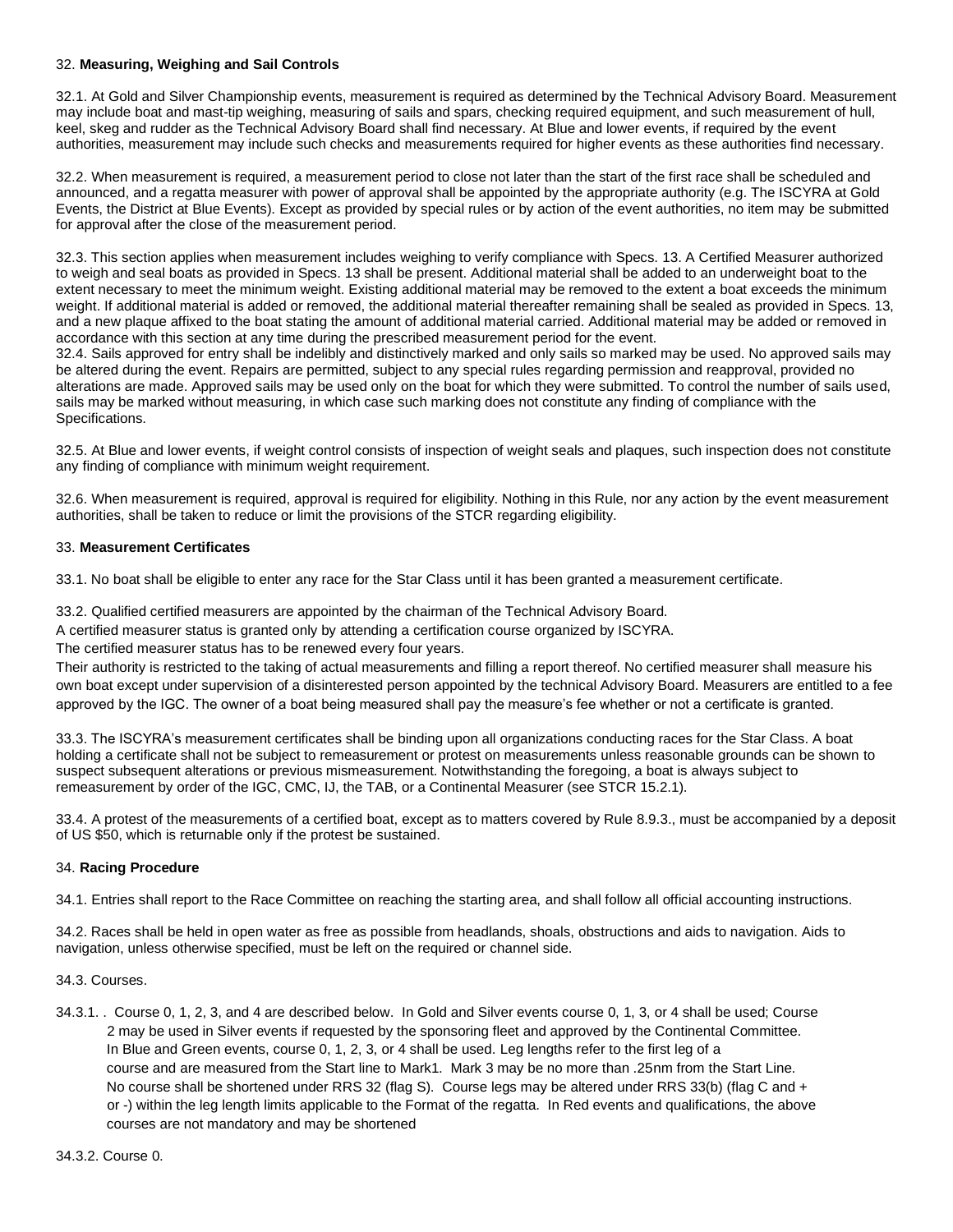## 32. **Measuring, Weighing and Sail Controls**

32.1. At Gold and Silver Championship events, measurement is required as determined by the Technical Advisory Board. Measurement may include boat and mast-tip weighing, measuring of sails and spars, checking required equipment, and such measurement of hull, keel, skeg and rudder as the Technical Advisory Board shall find necessary. At Blue and lower events, if required by the event authorities, measurement may include such checks and measurements required for higher events as these authorities find necessary.

32.2. When measurement is required, a measurement period to close not later than the start of the first race shall be scheduled and announced, and a regatta measurer with power of approval shall be appointed by the appropriate authority (e.g. The ISCYRA at Gold Events, the District at Blue Events). Except as provided by special rules or by action of the event authorities, no item may be submitted for approval after the close of the measurement period.

32.3. This section applies when measurement includes weighing to verify compliance with Specs. 13. A Certified Measurer authorized to weigh and seal boats as provided in Specs. 13 shall be present. Additional material shall be added to an underweight boat to the extent necessary to meet the minimum weight. Existing additional material may be removed to the extent a boat exceeds the minimum weight. If additional material is added or removed, the additional material thereafter remaining shall be sealed as provided in Specs. 13, and a new plaque affixed to the boat stating the amount of additional material carried. Additional material may be added or removed in accordance with this section at any time during the prescribed measurement period for the event.

32.4. Sails approved for entry shall be indelibly and distinctively marked and only sails so marked may be used. No approved sails may be altered during the event. Repairs are permitted, subject to any special rules regarding permission and reapproval, provided no alterations are made. Approved sails may be used only on the boat for which they were submitted. To control the number of sails used, sails may be marked without measuring, in which case such marking does not constitute any finding of compliance with the Specifications.

32.5. At Blue and lower events, if weight control consists of inspection of weight seals and plaques, such inspection does not constitute any finding of compliance with minimum weight requirement.

32.6. When measurement is required, approval is required for eligibility. Nothing in this Rule, nor any action by the event measurement authorities, shall be taken to reduce or limit the provisions of the STCR regarding eligibility.

## <span id="page-14-1"></span>33. **Measurement Certificates**

33.1. No boat shall be eligible to enter any race for the Star Class until it has been granted a measurement certificate.

33.2. Qualified certified measurers are appointed by the chairman of the Technical Advisory Board.

A certified measurer status is granted only by attending a certification course organized by ISCYRA.

The certified measurer status has to be renewed every four years.

Their authority is restricted to the taking of actual measurements and filling a report thereof. No certified measurer shall measure his own boat except under supervision of a disinterested person appointed by the technical Advisory Board. Measurers are entitled to a fee approved by the IGC. The owner of a boat being measured shall pay the measure's fee whether or not a certificate is granted.

33.3. The ISCYRA's measurement certificates shall be binding upon all organizations conducting races for the Star Class. A boat holding a certificate shall not be subject to remeasurement or protest on measurements unless reasonable grounds can be shown to suspect subsequent alterations or previous mismeasurement. Notwithstanding the foregoing, a boat is always subject to remeasurement by order of the IGC, CMC, IJ, the TAB, or a Continental Measurer (see STCR 15.2.1).

33.4. A protest of the measurements of a certified boat, except as to matters covered by Rule 8.9.3., must be accompanied by a deposit of US \$50, which is returnable only if the protest be sustained.

## <span id="page-14-2"></span>34. **Racing Procedure**

34.1. Entries shall report to the Race Committee on reaching the starting area, and shall follow all official accounting instructions.

34.2. Races shall be held in open water as free as possible from headlands, shoals, obstructions and aids to navigation. Aids to navigation, unless otherwise specified, must be left on the required or channel side.

<span id="page-14-0"></span>34.3. Courses.

34.3.1. . Course 0, 1, 2, 3, and 4 are described below. In Gold and Silver events course 0, 1, 3, or 4 shall be used; Course 2 may be used in Silver events if requested by the sponsoring fleet and approved by the Continental Committee. In Blue and Green events, course 0, 1, 2, 3, or 4 shall be used. Leg lengths refer to the first leg of a course and are measured from the Start line to Mark1. Mark 3 may be no more than .25nm from the Start Line. No course shall be shortened under RRS 32 (flag S). Course legs may be altered under RRS 33(b) (flag C and + or -) within the leg length limits applicable to the Format of the regatta. In Red events and qualifications, the above courses are not mandatory and may be shortened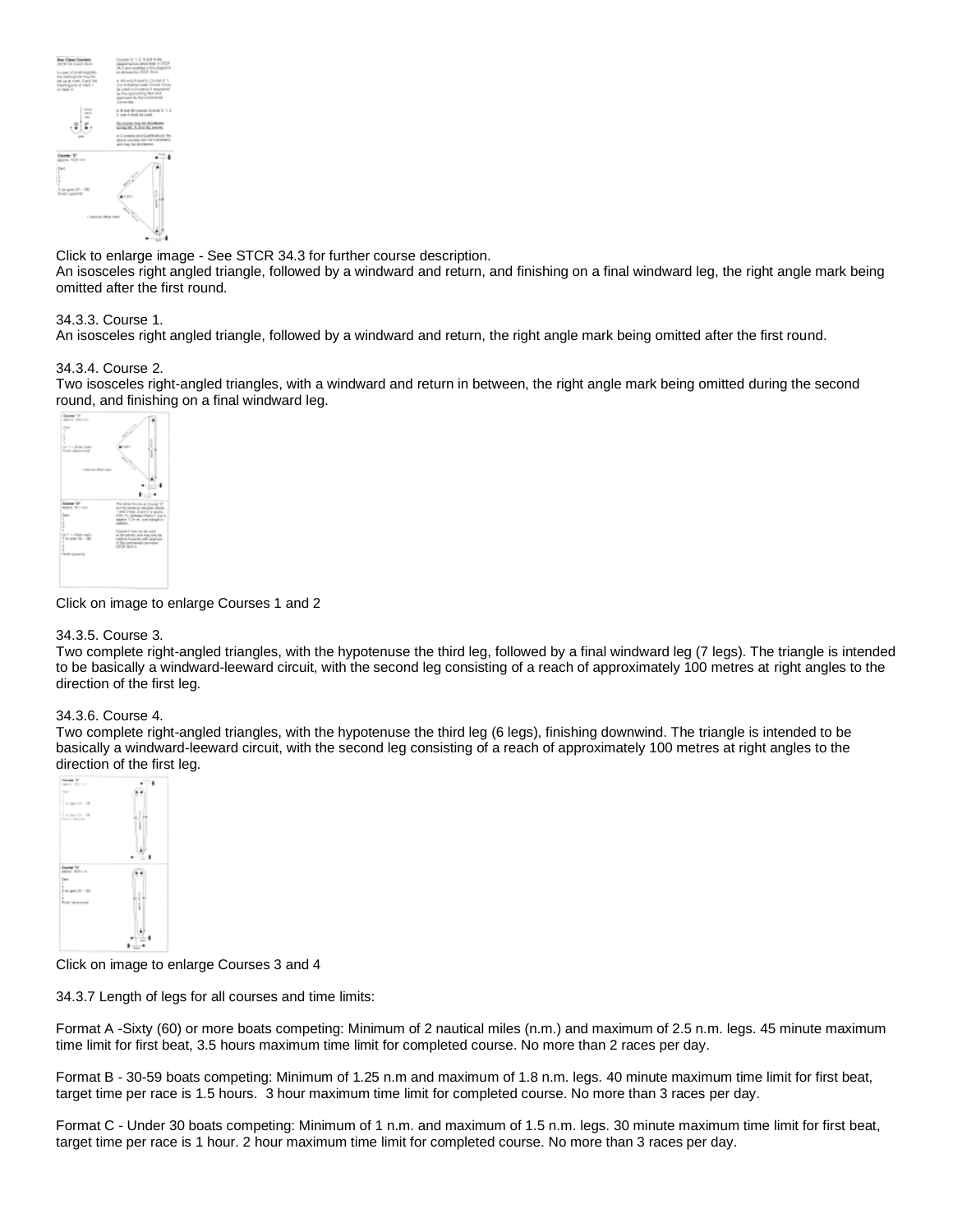

Click to enlarge image - See STCR 34.3 for further course description.

An isosceles right angled triangle, followed by a windward and return, and finishing on a final windward leg, the right angle mark being omitted after the first round.

## 34.3.3. Course 1.

An isosceles right angled triangle, followed by a windward and return, the right angle mark being omitted after the first round.

### 34.3.4. Course 2.

Two isosceles right-angled triangles, with a windward and return in between, the right angle mark being omitted during the second [round, and finishing](http://www.starclass.org/rules_items/Courses_1_and_2.gif) on a final windward leg.



Click on image to enlarge Courses 1 and 2

### 34.3.5. Course 3.

Two complete right-angled triangles, with the hypotenuse the third leg, followed by a final windward leg (7 legs). The triangle is intended to be basically a windward-leeward circuit, with the second leg consisting of a reach of approximately 100 metres at right angles to the direction of the first leg.

### 34.3.6. Course 4.

Two complete right-angled triangles, with the hypotenuse the third leg (6 legs), finishing downwind. The triangle is intended to be basically a windward-leeward circuit, with the second leg consisting of a reach of approximately 100 metres at right angles to the [direction of the first](http://www.starclass.org/rules_items/Courses_3_and_4.gif) leg.



Click on image to enlarge Courses 3 and 4

34.3.7 Length of legs for all courses and time limits:

Format A -Sixty (60) or more boats competing: Minimum of 2 nautical miles (n.m.) and maximum of 2.5 n.m. legs. 45 minute maximum time limit for first beat, 3.5 hours maximum time limit for completed course. No more than 2 races per day.

Format B - 30-59 boats competing: Minimum of 1.25 n.m and maximum of 1.8 n.m. legs. 40 minute maximum time limit for first beat, target time per race is 1.5 hours. 3 hour maximum time limit for completed course. No more than 3 races per day.

Format C - Under 30 boats competing: Minimum of 1 n.m. and maximum of 1.5 n.m. legs. 30 minute maximum time limit for first beat, target time per race is 1 hour. 2 hour maximum time limit for completed course. No more than 3 races per day.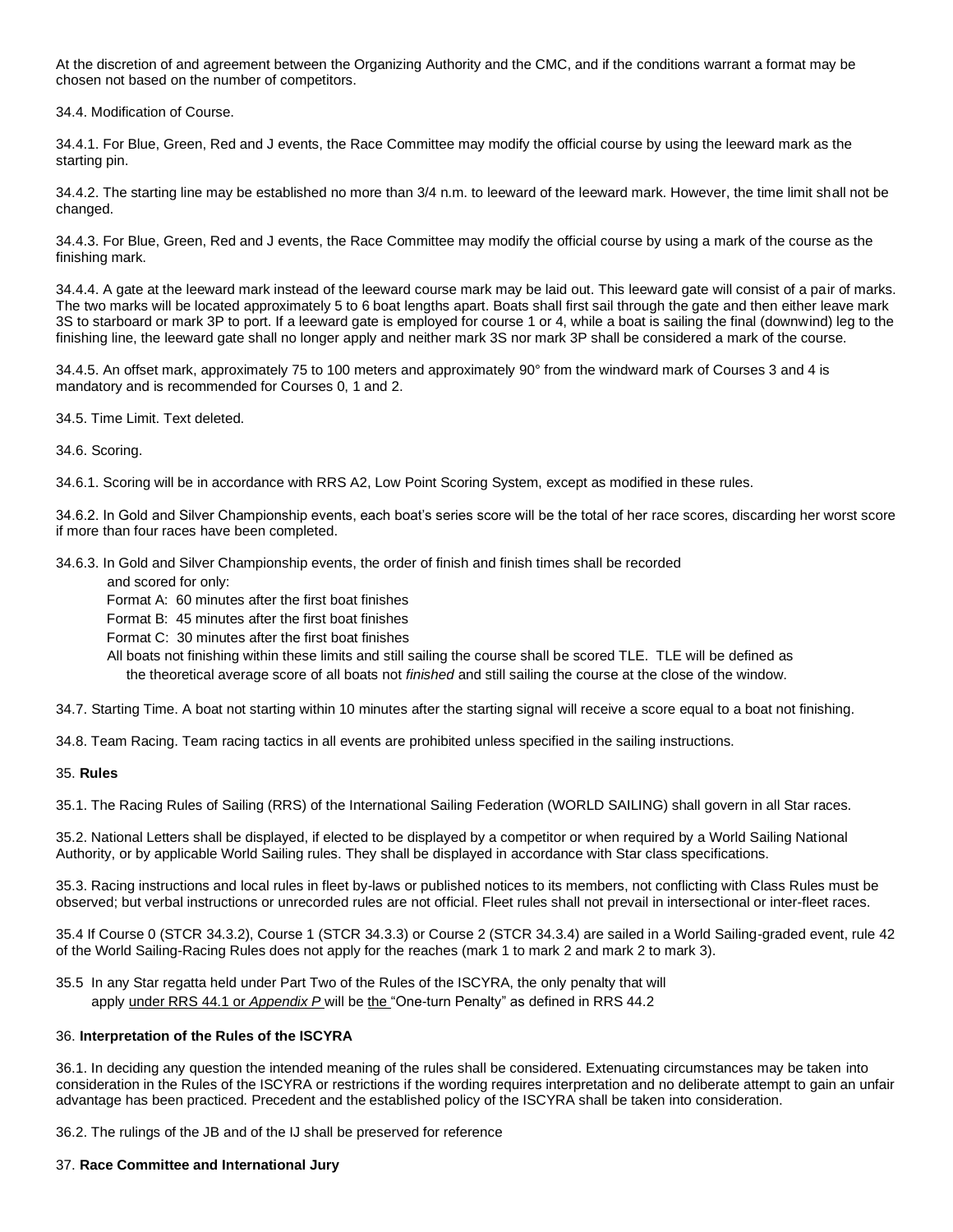At the discretion of and agreement between the Organizing Authority and the CMC, and if the conditions warrant a format may be chosen not based on the number of competitors.

<span id="page-16-0"></span>34.4. Modification of Course.

34.4.1. For Blue, Green, Red and J events, the Race Committee may modify the official course by using the leeward mark as the starting pin.

34.4.2. The starting line may be established no more than 3/4 n.m. to leeward of the leeward mark. However, the time limit shall not be changed.

34.4.3. For Blue, Green, Red and J events, the Race Committee may modify the official course by using a mark of the course as the finishing mark.

34.4.4. A gate at the leeward mark instead of the leeward course mark may be laid out. This leeward gate will consist of a pair of marks. The two marks will be located approximately 5 to 6 boat lengths apart. Boats shall first sail through the gate and then either leave mark 3S to starboard or mark 3P to port. If a leeward gate is employed for course 1 or 4, while a boat is sailing the final (downwind) leg to the finishing line, the leeward gate shall no longer apply and neither mark 3S nor mark 3P shall be considered a mark of the course.

34.4.5. An offset mark, approximately 75 to 100 meters and approximately 90° from the windward mark of Courses 3 and 4 is mandatory and is recommended for Courses 0, 1 and 2.

<span id="page-16-2"></span><span id="page-16-1"></span>34.5. Time Limit. Text deleted.

34.6. Scoring.

34.6.1. Scoring will be in accordance with RRS A2, Low Point Scoring System, except as modified in these rules.

34.6.2. In Gold and Silver Championship events, each boat's series score will be the total of her race scores, discarding her worst score if more than four races have been completed.

34.6.3. In Gold and Silver Championship events, the order of finish and finish times shall be recorded

and scored for only:

Format A: 60 minutes after the first boat finishes

Format B: 45 minutes after the first boat finishes

Format C: 30 minutes after the first boat finishes

 All boats not finishing within these limits and still sailing the course shall be scored TLE. TLE will be defined as the theoretical average score of all boats not *finished* and still sailing the course at the close of the window.

<span id="page-16-7"></span>34.7. Starting Time. A boat not starting within 10 minutes after the starting signal will receive a score equal to a boat not finishing.

<span id="page-16-6"></span>34.8. Team Racing. Team racing tactics in all events are prohibited unless specified in the sailing instructions.

### 35. **Rules**

<span id="page-16-5"></span>35.1. The Racing Rules of Sailing (RRS) of the International Sailing Federation (WORLD SAILING) shall govern in all Star races.

35.2. National Letters shall be displayed, if elected to be displayed by a competitor or when required by a World Sailing National Authority, or by applicable World Sailing rules. They shall be displayed in accordance with Star class specifications.

35.3. Racing instructions and local rules in fleet by-laws or published notices to its members, not conflicting with Class Rules must be observed; but verbal instructions or unrecorded rules are not official. Fleet rules shall not prevail in intersectional or inter-fleet races.

35.4 If Course 0 (STCR 34.3.2), Course 1 (STCR 34.3.3) or Course 2 (STCR 34.3.4) are sailed in a World Sailing-graded event, rule 42 of the World Sailing-Racing Rules does not apply for the reaches (mark 1 to mark 2 and mark 2 to mark 3).

35.5 In any Star regatta held under Part Two of the Rules of the ISCYRA, the only penalty that will apply under RRS 44.1 or *Appendix P* will be the "One-turn Penalty" as defined in RRS 44.2

### <span id="page-16-3"></span>36. **Interpretation of the Rules of the ISCYRA**

36.1. In deciding any question the intended meaning of the rules shall be considered. Extenuating circumstances may be taken into consideration in the Rules of the ISCYRA or restrictions if the wording requires interpretation and no deliberate attempt to gain an unfair advantage has been practiced. Precedent and the established policy of the ISCYRA shall be taken into consideration.

<span id="page-16-4"></span>36.2. The rulings of the JB and of the IJ shall be preserved for reference

## 37. **Race Committee and International Jury**